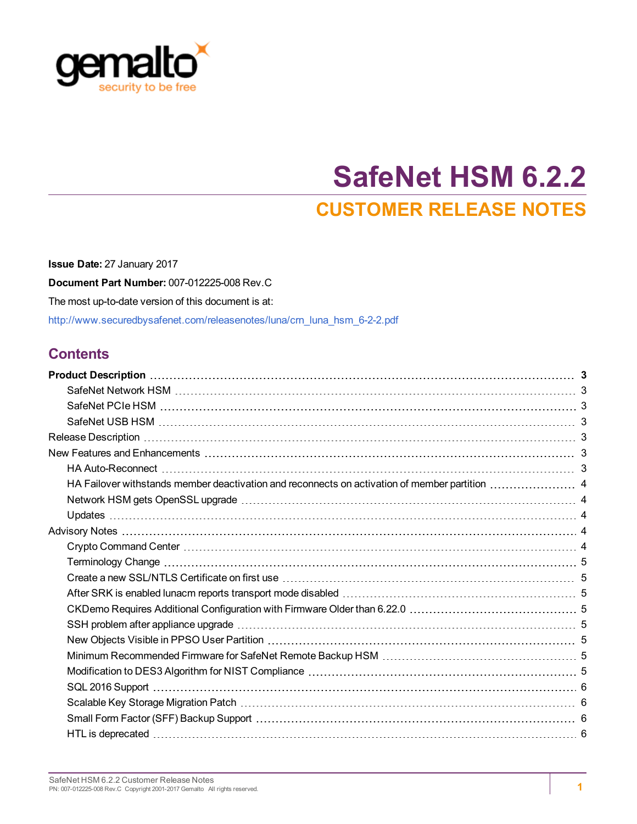

# **SafeNet HSM 6.2.2 CUSTOMER RELEASE NOTES**

**Issue Date:** 27 January 2017 **Document Part Number:** 007-012225-008 Rev.C The most up-to-date version of this document is at: [http://www.securedbysafenet.com/releasenotes/luna/crn\\_luna\\_hsm\\_6-2-2.pdf](http://www.securedbysafenet.com/releasenotes/luna/crn_luna_hsm_6-2-2.pdf)

# **Contents**

| HA Failover withstands member deactivation and reconnects on activation of member partition  4 |  |
|------------------------------------------------------------------------------------------------|--|
|                                                                                                |  |
|                                                                                                |  |
|                                                                                                |  |
|                                                                                                |  |
|                                                                                                |  |
|                                                                                                |  |
|                                                                                                |  |
|                                                                                                |  |
|                                                                                                |  |
|                                                                                                |  |
|                                                                                                |  |
|                                                                                                |  |
|                                                                                                |  |
|                                                                                                |  |
|                                                                                                |  |
|                                                                                                |  |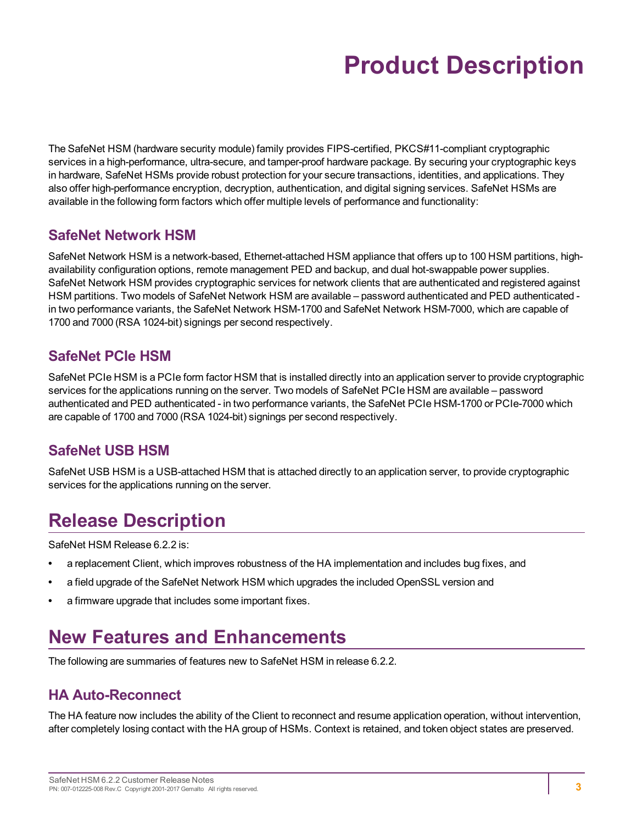# **Product Description**

<span id="page-2-0"></span>The SafeNet HSM (hardware security module) family provides FIPS-certified, PKCS#11-compliant cryptographic services in a high-performance, ultra-secure, and tamper-proof hardware package. By securing your cryptographic keys in hardware, SafeNet HSMs provide robust protection for your secure transactions, identities, and applications. They also offer high-performance encryption, decryption, authentication, and digital signing services. SafeNet HSMs are available in the following form factors which offer multiple levels of performance and functionality:

# <span id="page-2-1"></span>**SafeNet Network HSM**

SafeNet Network HSM is a network-based, Ethernet-attached HSM appliance that offers up to 100 HSM partitions, highavailability configuration options, remote management PED and backup, and dual hot-swappable power supplies. SafeNet Network HSM provides cryptographic services for network clients that are authenticated and registered against HSM partitions. Two models of SafeNet Network HSM are available – password authenticated and PED authenticated in two performance variants, the SafeNet Network HSM-1700 and SafeNet Network HSM-7000, which are capable of 1700 and 7000 (RSA 1024-bit) signings per second respectively.

# <span id="page-2-2"></span>**SafeNet PCIe HSM**

SafeNet PCIe HSM is a PCIe form factor HSM that is installed directly into an application server to provide cryptographic services for the applications running on the server. Two models of SafeNet PCIe HSM are available – password authenticated and PED authenticated - in two performance variants, the SafeNet PCIe HSM-1700 or PCIe-7000 which are capable of 1700 and 7000 (RSA 1024-bit) signings per second respectively.

# <span id="page-2-3"></span>**SafeNet USB HSM**

<span id="page-2-4"></span>SafeNet USB HSM is a USB-attached HSM that is attached directly to an application server, to provide cryptographic services for the applications running on the server.

# **Release Description**

SafeNet HSM Release 6.2.2 is:

- **•** a replacement Client, which improves robustness of the HA implementation and includes bug fixes, and
- **•** a field upgrade of the SafeNet Network HSM which upgrades the included OpenSSL version and
- <span id="page-2-5"></span>**•** a firmware upgrade that includes some important fixes.

# **New Features and Enhancements**

<span id="page-2-7"></span><span id="page-2-6"></span>The following are summaries of features new to SafeNet HSM in release 6.2.2.

# **HA Auto-Reconnect**

The HA feature now includes the ability of the Client to reconnect and resume application operation, without intervention, after completely losing contact with the HA group of HSMs. Context is retained, and token object states are preserved.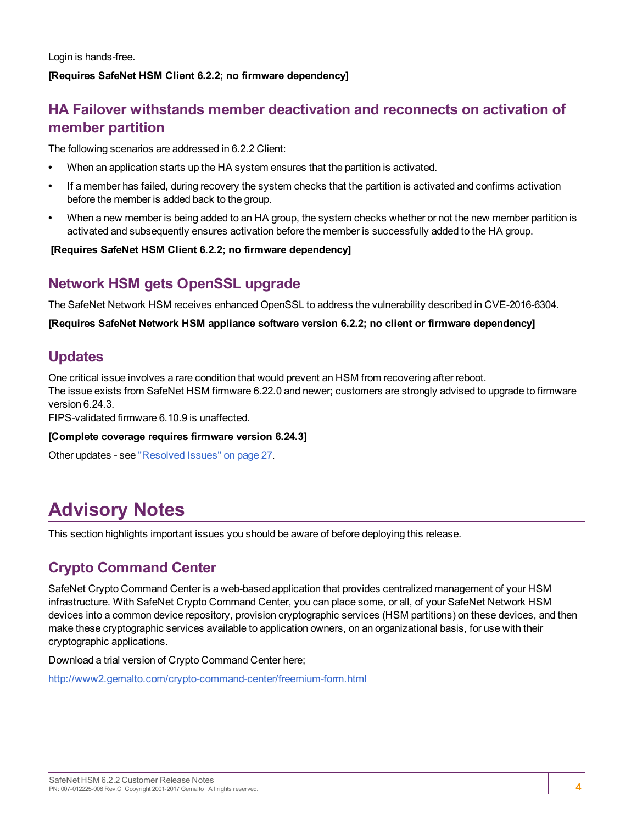Login is hands-free.

#### <span id="page-3-0"></span>**[Requires SafeNet HSM Client 6.2.2; no firmware dependency]**

# **HA Failover withstands member deactivation and reconnects on activation of member partition**

The following scenarios are addressed in 6.2.2 Client:

- **•** When an application starts up the HA system ensures that the partition is activated.
- **•** If a member has failed, during recovery the system checks that the partition is activated and confirms activation before the member is added back to the group.
- **•** When a new member is being added to an HA group, the system checks whether or not the new member partition is activated and subsequently ensures activation before the member is successfully added to the HA group.

#### <span id="page-3-1"></span>**[Requires SafeNet HSM Client 6.2.2; no firmware dependency]**

## **Network HSM gets OpenSSL upgrade**

The SafeNet Network HSM receives enhanced OpenSSL to address the vulnerability described in CVE-2016-6304.

<span id="page-3-2"></span>**[Requires SafeNet Network HSM appliance software version 6.2.2; no client or firmware dependency]**

# **Updates**

One critical issue involves a rare condition that would prevent an HSM from recovering after reboot. The issue exists from SafeNet HSM firmware 6.22.0 and newer; customers are strongly advised to upgrade to firmware version 6.24.3.

FIPS-validated firmware 6.10.9 is unaffected.

#### **[Complete coverage requires firmware version 6.24.3]**

Other updates - see "Resolved [Issues" on](#page-26-0) page 27.

# <span id="page-3-3"></span>**Advisory Notes**

<span id="page-3-4"></span>This section highlights important issues you should be aware of before deploying this release.

# **Crypto Command Center**

SafeNet Crypto Command Center is a web-based application that provides centralized management of your HSM infrastructure. With SafeNet Crypto Command Center, you can place some, or all, of your SafeNet Network HSM devices into a common device repository, provision cryptographic services (HSM partitions) on these devices, and then make these cryptographic services available to application owners, on an organizational basis, for use with their cryptographic applications.

Download a trial version of Crypto Command Center here;

<http://www2.gemalto.com/crypto-command-center/freemium-form.html>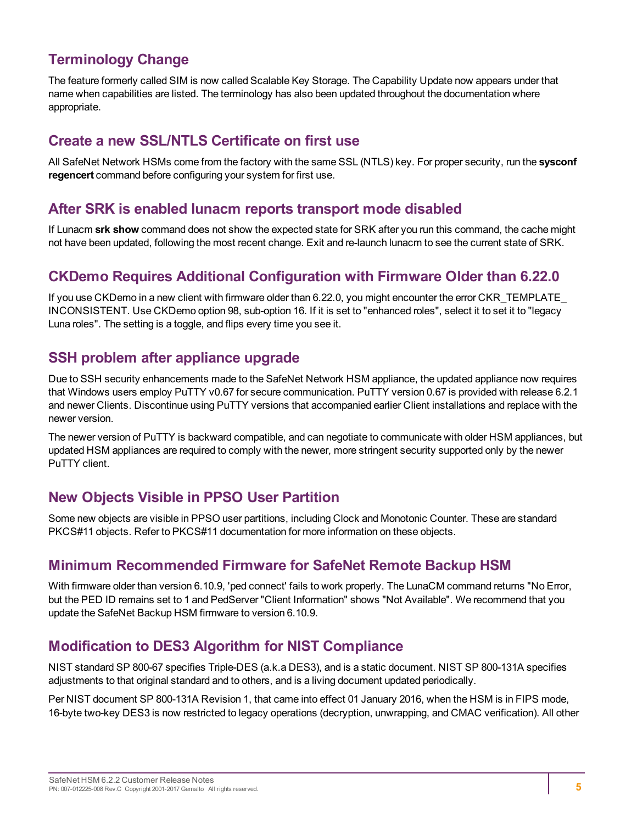# <span id="page-4-0"></span>**Terminology Change**

The feature formerly called SIM is now called Scalable Key Storage. The Capability Update now appears under that name when capabilities are listed. The terminology has also been updated throughout the documentation where appropriate.

## <span id="page-4-1"></span>**Create a new SSL/NTLS Certificate on first use**

All SafeNet Network HSMs come from the factory with the same SSL (NTLS) key. For proper security, run the **sysconf regencert** command before configuring your system for first use.

## <span id="page-4-2"></span>**After SRK is enabled lunacm reports transport mode disabled**

If Lunacm **srk show** command does not show the expected state for SRK after you run this command, the cache might not have been updated, following the most recent change. Exit and re-launch lunacm to see the current state of SRK.

## <span id="page-4-3"></span>**CKDemo Requires Additional Configuration with Firmware Older than 6.22.0**

If you use CKDemo in a new client with firmware older than 6.22.0, you might encounter the error CKR\_TEMPLATE\_ INCONSISTENT. Use CKDemo option 98, sub-option 16. If it is set to "enhanced roles", select it to set it to "legacy Luna roles". The setting is a toggle, and flips every time you see it.

# <span id="page-4-4"></span>**SSH problem after appliance upgrade**

Due to SSH security enhancements made to the SafeNet Network HSM appliance, the updated appliance now requires that Windows users employ PuTTY v0.67 for secure communication. PuTTY version 0.67 is provided with release 6.2.1 and newer Clients. Discontinue using PuTTY versions that accompanied earlier Client installations and replace with the newer version.

The newer version of PuTTY is backward compatible, and can negotiate to communicate with older HSM appliances, but updated HSM appliances are required to comply with the newer, more stringent security supported only by the newer PuTTY client.

# <span id="page-4-5"></span>**New Objects Visible in PPSO User Partition**

Some new objects are visible in PPSO user partitions, including Clock and Monotonic Counter. These are standard PKCS#11 objects. Refer to PKCS#11 documentation for more information on these objects.

# <span id="page-4-6"></span>**Minimum Recommended Firmware for SafeNet Remote Backup HSM**

With firmware older than version 6.10.9, 'ped connect' fails to work properly. The LunaCM command returns "No Error, but the PED ID remains set to 1 and PedServer "Client Information" shows "Not Available". We recommend that you update the SafeNet Backup HSM firmware to version 6.10.9.

## <span id="page-4-7"></span>**Modification to DES3 Algorithm for NIST Compliance**

NIST standard SP 800-67 specifies Triple-DES (a.k.a DES3), and is a static document. NIST SP 800-131A specifies adjustments to that original standard and to others, and is a living document updated periodically.

Per NIST document SP 800-131A Revision 1, that came into effect 01 January 2016, when the HSM is in FIPS mode, 16-byte two-key DES3 is now restricted to legacy operations (decryption, unwrapping, and CMAC verification). All other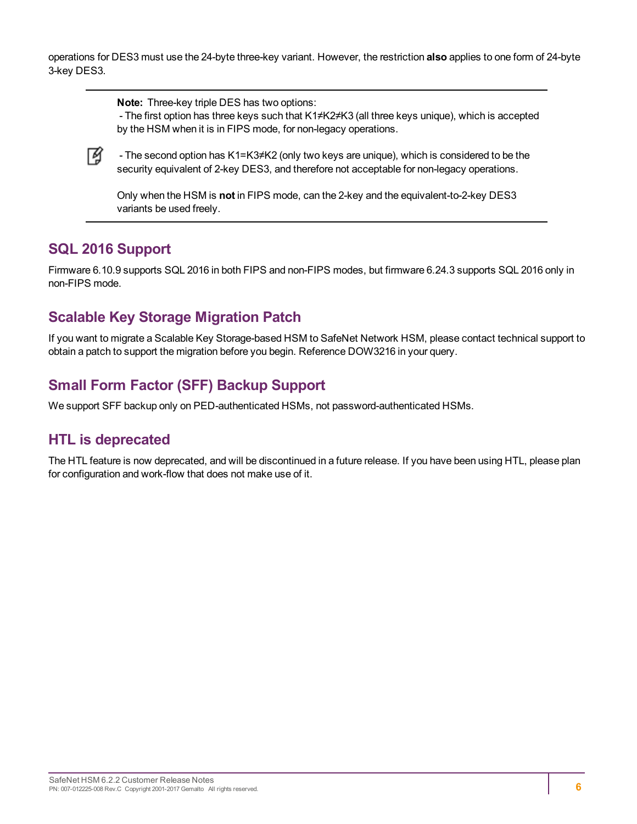operations for DES3 must use the 24-byte three-key variant. However, the restriction **also** applies to one form of 24-byte 3-key DES3.

**Note:** Three-key triple DES has two options:

- The first option has three keys such that K1≠K2≠K3 (all three keys unique), which is accepted by the HSM when it is in FIPS mode, for non-legacy operations.



- The second option has K1=K3≠K2 (only two keys are unique), which is considered to be the security equivalent of 2-key DES3, and therefore not acceptable for non-legacy operations.

Only when the HSM is **not** in FIPS mode, can the 2-key and the equivalent-to-2-key DES3 variants be used freely.

## <span id="page-5-0"></span>**SQL 2016 Support**

Firmware 6.10.9 supports SQL 2016 in both FIPS and non-FIPS modes, but firmware 6.24.3 supports SQL 2016 only in non-FIPS mode.

# <span id="page-5-1"></span>**Scalable Key Storage Migration Patch**

If you want to migrate a Scalable Key Storage-based HSM to SafeNet Network HSM, please contact technical support to obtain a patch to support the migration before you begin. Reference DOW3216 in your query.

# <span id="page-5-2"></span>**Small Form Factor (SFF) Backup Support**

<span id="page-5-3"></span>We support SFF backup only on PED-authenticated HSMs, not password-authenticated HSMs.

# **HTL is deprecated**

The HTL feature is now deprecated, and will be discontinued in a future release. If you have been using HTL, please plan for configuration and work-flow that does not make use of it.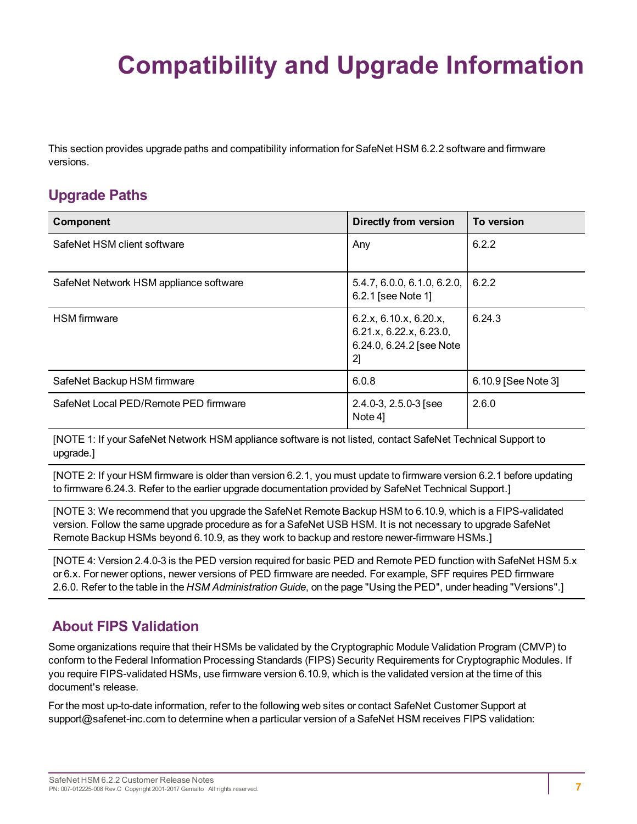# <span id="page-6-0"></span>**Compatibility and Upgrade Information**

This section provides upgrade paths and compatibility information for SafeNet HSM 6.2.2 software and firmware versions.

# <span id="page-6-1"></span>**Upgrade Paths**

| Component                              | <b>Directly from version</b>                                                        | To version          |
|----------------------------------------|-------------------------------------------------------------------------------------|---------------------|
| SafeNet HSM client software            | Any                                                                                 | 6.2.2               |
| SafeNet Network HSM appliance software | 5.4.7, 6.0.0, 6.1.0, 6.2.0,<br>6.2.1 [see Note 1]                                   | 6.2.2               |
| <b>HSM</b> firmware                    | 6.2.x, 6.10.x, 6.20.x,<br>6.21.x, 6.22.x, 6.23.0,<br>6.24.0, 6.24.2 [see Note<br>2] | 6.24.3              |
| SafeNet Backup HSM firmware            | 6.0.8                                                                               | 6.10.9 [See Note 3] |
| SafeNet Local PED/Remote PED firmware  | $2.4.0 - 3, 2.5.0 - 3$ [see<br>Note 4]                                              | 2.6.0               |

[NOTE 1: If your SafeNet Network HSM appliance software is not listed, contact SafeNet Technical Support to upgrade.]

[NOTE 2: If your HSM firmware is older than version 6.2.1, you must update to firmware version 6.2.1 before updating to firmware 6.24.3. Refer to the earlier upgrade documentation provided by SafeNet Technical Support.]

[NOTE 3: We recommend that you upgrade the SafeNet Remote Backup HSM to 6.10.9, which is a FIPS-validated version. Follow the same upgrade procedure as for a SafeNet USB HSM. It is not necessary to upgrade SafeNet Remote Backup HSMs beyond 6.10.9, as they work to backup and restore newer-firmware HSMs.]

[NOTE 4: Version 2.4.0-3 is the PED version required for basic PED and Remote PED function with SafeNet HSM 5.x or 6.x. For newer options, newer versions of PED firmware are needed. For example, SFF requires PED firmware 2.6.0. Refer to the table in the *HSM Administration Guide*, on the page "Using the PED", under heading "Versions".]

# <span id="page-6-2"></span>**About FIPS Validation**

Some organizations require that their HSMs be validated by the Cryptographic Module Validation Program (CMVP) to conform to the Federal Information Processing Standards (FIPS) Security Requirements for Cryptographic Modules. If you require FIPS-validated HSMs, use firmware version 6.10.9, which is the validated version at the time of this document's release.

For the most up-to-date information, refer to the following web sites or contact SafeNet Customer Support at support@safenet-inc.com to determine when a particular version of a SafeNet HSM receives FIPS validation: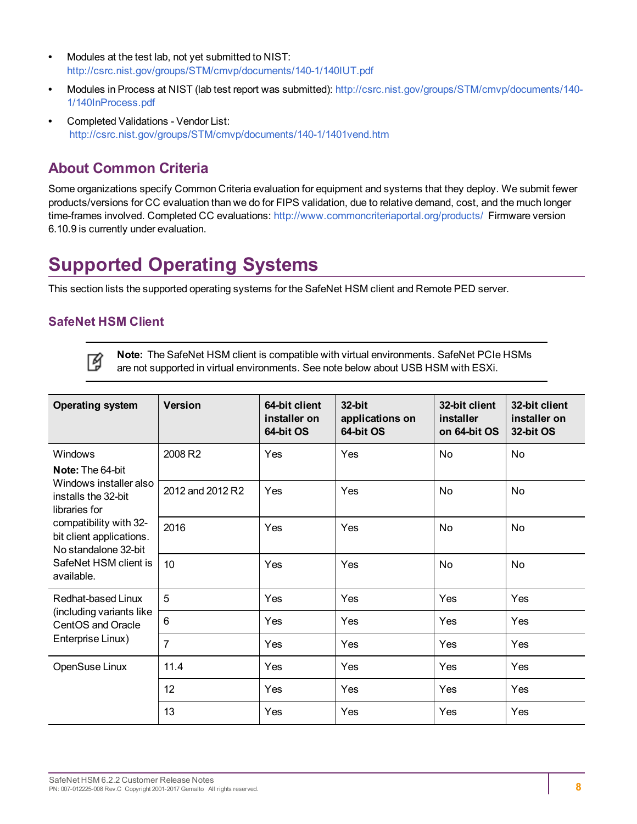- **•** Modules at the test lab, not yet submitted to NIST: <http://csrc.nist.gov/groups/STM/cmvp/documents/140-1/140IUT.pdf>
- **•** Modules in Process at NIST (lab test report was submitted): [http://csrc.nist.gov/groups/STM/cmvp/documents/140-](http://csrc.nist.gov/groups/STM/cmvp/documents/140-1/140InProcess.pdf) [1/140InProcess.pdf](http://csrc.nist.gov/groups/STM/cmvp/documents/140-1/140InProcess.pdf)
- **•** Completed Validations Vendor List: <http://csrc.nist.gov/groups/STM/cmvp/documents/140-1/1401vend.htm>

# <span id="page-7-0"></span>**About Common Criteria**

Some organizations specify Common Criteria evaluation for equipment and systems that they deploy. We submit fewer products/versions for CC evaluation than we do for FIPS validation, due to relative demand, cost, and the much longer time-frames involved. Completed CC evaluations: <http://www.commoncriteriaportal.org/products/> Firmware version 6.10.9 is currently under evaluation.

# <span id="page-7-1"></span>**Supported Operating Systems**

This section lists the supported operating systems for the SafeNet HSM client and Remote PED server.

### **SafeNet HSM Client**



**Note:** The SafeNet HSM client is compatible with virtual environments. SafeNet PCIe HSMs are not supported in virtual environments. See note below about USB HSM with ESXi.

| <b>Operating system</b>                                                    | <b>Version</b>   | 64-bit client<br>installer on<br>64-bit OS | 32-bit<br>applications on<br>64-bit OS | 32-bit client<br>installer<br>on 64-bit OS | 32-bit client<br>installer on<br>32-bit OS |
|----------------------------------------------------------------------------|------------------|--------------------------------------------|----------------------------------------|--------------------------------------------|--------------------------------------------|
| Windows<br><b>Note:</b> The 64-bit                                         | 2008 R2          | Yes                                        | Yes                                    | No                                         | No                                         |
| Windows installer also<br>installs the 32-bit<br>libraries for             | 2012 and 2012 R2 | Yes                                        | Yes                                    | No                                         | No                                         |
| compatibility with 32-<br>bit client applications.<br>No standalone 32-bit | 2016             | Yes                                        | Yes                                    | No                                         | No                                         |
| SafeNet HSM client is<br>available.                                        | 10               | Yes                                        | Yes                                    | No                                         | No                                         |
| Redhat-based Linux                                                         | 5                | Yes                                        | Yes                                    | Yes                                        | Yes                                        |
| (including variants like<br>CentOS and Oracle                              | 6                | Yes                                        | Yes                                    | Yes                                        | Yes                                        |
| Enterprise Linux)                                                          | 7                | Yes                                        | Yes                                    | Yes                                        | Yes                                        |
| OpenSuse Linux                                                             | 11.4             | Yes                                        | Yes                                    | Yes                                        | Yes                                        |
|                                                                            | 12               | Yes                                        | Yes                                    | Yes                                        | Yes                                        |
|                                                                            | 13               | Yes                                        | Yes                                    | Yes                                        | Yes                                        |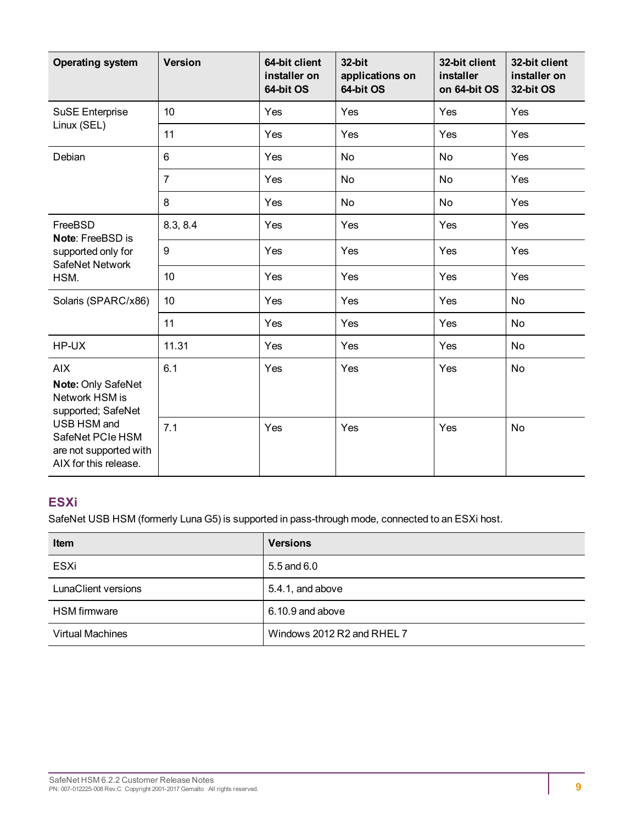| <b>Operating system</b>                                                                                                                                        | <b>Version</b> | 64-bit client<br>installer on<br>64-bit OS | 32-bit<br>applications on<br>64-bit OS | 32-bit client<br>installer<br>on 64-bit OS | 32-bit client<br>installer on<br>32-bit OS |
|----------------------------------------------------------------------------------------------------------------------------------------------------------------|----------------|--------------------------------------------|----------------------------------------|--------------------------------------------|--------------------------------------------|
| <b>SuSE Enterprise</b>                                                                                                                                         | 10             | Yes                                        | Yes                                    | Yes                                        | Yes                                        |
| Linux (SEL)                                                                                                                                                    | 11             | Yes                                        | Yes                                    | Yes                                        | Yes                                        |
| Debian                                                                                                                                                         | 6              | Yes                                        | No                                     | <b>No</b>                                  | Yes                                        |
|                                                                                                                                                                | $\overline{7}$ | Yes                                        | No                                     | No                                         | Yes                                        |
|                                                                                                                                                                | 8              | Yes                                        | No                                     | <b>No</b>                                  | Yes                                        |
| FreeBSD<br>Note: FreeBSD is                                                                                                                                    | 8.3, 8.4       | Yes                                        | Yes                                    | Yes                                        | Yes                                        |
| supported only for<br>SafeNet Network                                                                                                                          | 9              | Yes                                        | Yes                                    | Yes                                        | Yes                                        |
| HSM.                                                                                                                                                           | 10             | Yes                                        | Yes                                    | Yes                                        | Yes                                        |
| Solaris (SPARC/x86)                                                                                                                                            | 10             | Yes                                        | Yes                                    | Yes                                        | <b>No</b>                                  |
|                                                                                                                                                                | 11             | Yes                                        | Yes                                    | Yes                                        | <b>No</b>                                  |
| HP-UX                                                                                                                                                          | 11.31          | Yes                                        | Yes                                    | Yes                                        | No                                         |
| <b>AIX</b><br>Note: Only SafeNet<br>Network HSM is<br>supported; SafeNet<br>USB HSM and<br>SafeNet PCIe HSM<br>are not supported with<br>AIX for this release. | 6.1            | Yes                                        | Yes                                    | Yes                                        | <b>No</b>                                  |
|                                                                                                                                                                | 7.1            | Yes                                        | Yes                                    | Yes                                        | No                                         |

# **ESXi**

SafeNet USB HSM (formerly Luna G5) is supported in pass-through mode, connected to an ESXi host.

| <b>Item</b>                | <b>Versions</b>            |
|----------------------------|----------------------------|
| ESXi                       | 5.5 and 6.0                |
| <b>LunaClient versions</b> | 5.4.1, and above           |
| <b>HSM</b> firmware        | $6.10.9$ and above         |
| <b>Virtual Machines</b>    | Windows 2012 R2 and RHEL 7 |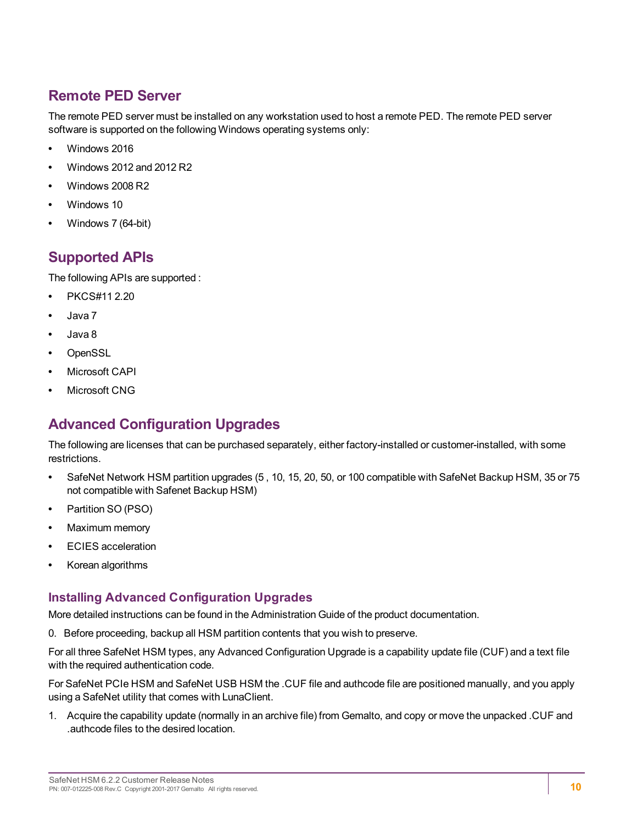# <span id="page-9-0"></span>**Remote PED Server**

The remote PED server must be installed on any workstation used to host a remote PED. The remote PED server software is supported on the following Windows operating systems only:

- **•** Windows 2016
- **•** Windows 2012 and 2012 R2
- **•** Windows 2008 R2
- **•** Windows 10
- <span id="page-9-1"></span>**•** Windows 7 (64-bit)

# **Supported APIs**

The following APIs are supported :

- **•** PKCS#11 2.20
- **•** Java 7
- **•** Java 8
- **•** OpenSSL
- **•** Microsoft CAPI
- <span id="page-9-2"></span>**•** Microsoft CNG

# **Advanced Configuration Upgrades**

The following are licenses that can be purchased separately, either factory-installed or customer-installed, with some restrictions.

- **•** SafeNet Network HSM partition upgrades (5 , 10, 15, 20, 50, or 100 compatible with SafeNet Backup HSM, 35 or 75 not compatible with Safenet Backup HSM)
- **•** Partition SO (PSO)
- **•** Maximum memory
- **•** ECIES acceleration
- **•** Korean algorithms

### **Installing Advanced Configuration Upgrades**

More detailed instructions can be found in the Administration Guide of the product documentation.

0. Before proceeding, backup all HSM partition contents that you wish to preserve.

For all three SafeNet HSM types, any Advanced Configuration Upgrade is a capability update file (CUF) and a text file with the required authentication code.

For SafeNet PCIe HSM and SafeNet USB HSM the .CUF file and authcode file are positioned manually, and you apply using a SafeNet utility that comes with LunaClient.

1. Acquire the capability update (normally in an archive file) from Gemalto, and copy or move the unpacked .CUF and .authcode files to the desired location.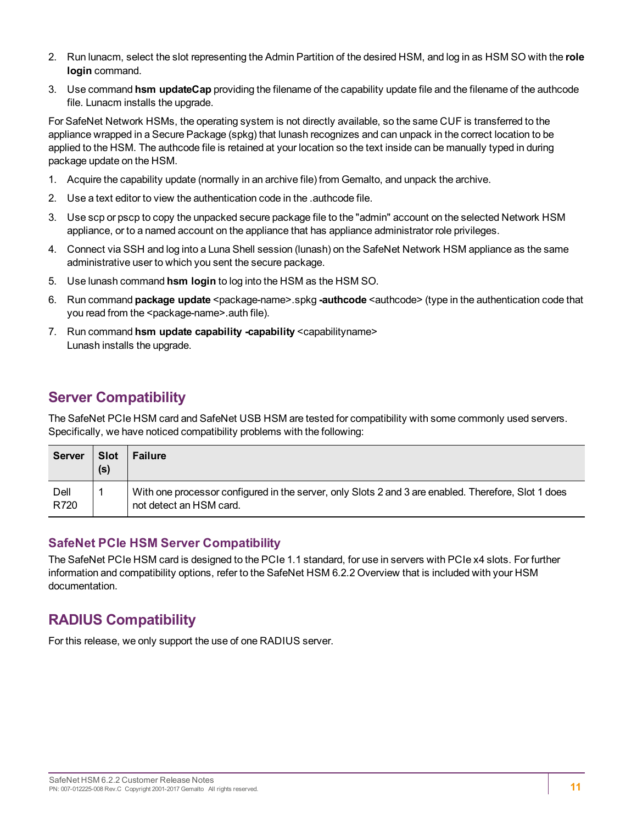- 2. Run lunacm, select the slot representing the Admin Partition of the desired HSM, and log in as HSM SO with the **role login** command.
- 3. Use command **hsm updateCap** providing the filename of the capability update file and the filename of the authcode file. Lunacm installs the upgrade.

For SafeNet Network HSMs, the operating system is not directly available, so the same CUF is transferred to the appliance wrapped in a Secure Package (spkg) that lunash recognizes and can unpack in the correct location to be applied to the HSM. The authcode file is retained at your location so the text inside can be manually typed in during package update on the HSM.

- 1. Acquire the capability update (normally in an archive file) from Gemalto, and unpack the archive.
- 2. Use a text editor to view the authentication code in the .authcode file.
- 3. Use scp or pscp to copy the unpacked secure package file to the "admin" account on the selected Network HSM appliance, or to a named account on the appliance that has appliance administrator role privileges.
- 4. Connect via SSH and log into a Luna Shell session (lunash) on the SafeNet Network HSM appliance as the same administrative user to which you sent the secure package.
- 5. Use lunash command **hsm login** to log into the HSM as the HSM SO.
- 6. Run command **package update** <package-name>.spkg **-authcode** <authcode> (type in the authentication code that you read from the <package-name>.auth file).
- 7. Run command **hsm update capability -capability** <capabilityname> Lunash installs the upgrade.

# <span id="page-10-0"></span>**Server Compatibility**

The SafeNet PCIe HSM card and SafeNet USB HSM are tested for compatibility with some commonly used servers. Specifically, we have noticed compatibility problems with the following:

| Server       | <b>Slot</b><br>(s) | <b>Failure</b>                                                                                                                 |
|--------------|--------------------|--------------------------------------------------------------------------------------------------------------------------------|
| Dell<br>R720 |                    | With one processor configured in the server, only Slots 2 and 3 are enabled. Therefore, Slot 1 does<br>not detect an HSM card. |

### **SafeNet PCIe HSM Server Compatibility**

The SafeNet PCIe HSM card is designed to the PCIe 1.1 standard, for use in servers with PCIe x4 slots. For further information and compatibility options, refer to the SafeNet HSM 6.2.2 Overview that is included with your HSM documentation.

# <span id="page-10-1"></span>**RADIUS Compatibility**

For this release, we only support the use of one RADIUS server.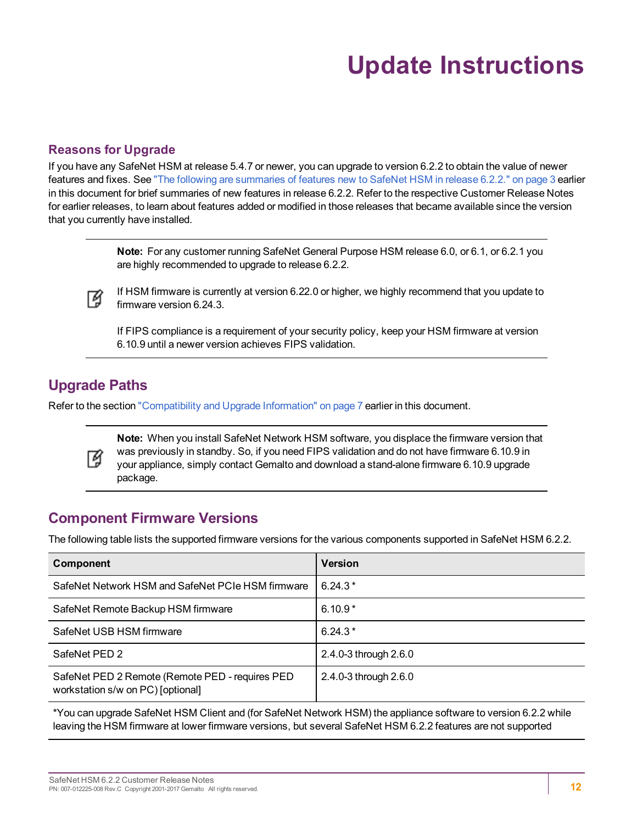# **Update Instructions**

### <span id="page-11-0"></span>**Reasons for Upgrade**

If you have any SafeNet HSM at release 5.4.7 or newer, you can upgrade to version 6.2.2 to obtain the value of newer features and fixes. See "The following are [summaries](#page-2-7) of features new to SafeNet HSM in release 6.2.2." on page 3 earlier in this document for brief summaries of new features in release 6.2.2. Refer to the respective Customer Release Notes for earlier releases, to learn about features added or modified in those releases that became available since the version that you currently have installed.

> **Note:** For any customer running SafeNet General Purpose HSM release 6.0, or 6.1, or 6.2.1 you are highly recommended to upgrade to release 6.2.2.



If HSM firmware is currently at version 6.22.0 or higher, we highly recommend that you update to firmware version 6.24.3.

If FIPS compliance is a requirement of your security policy, keep your HSM firmware at version 6.10.9 until a newer version achieves FIPS validation.

## <span id="page-11-1"></span>**Upgrade Paths**

Refer to the section "Compatibility and Upgrade [Information" on](#page-6-0) page 7 earlier in this document.



**Note:** When you install SafeNet Network HSM software, you displace the firmware version that was previously in standby. So, if you need FIPS validation and do not have firmware 6.10.9 in your appliance, simply contact Gemalto and download a stand-alone firmware 6.10.9 upgrade package.

## <span id="page-11-2"></span>**Component Firmware Versions**

The following table lists the supported firmware versions for the various components supported in SafeNet HSM 6.2.2.

| <b>Component</b>                                                                     | <b>Version</b>        |
|--------------------------------------------------------------------------------------|-----------------------|
| SafeNet Network HSM and SafeNet PCIe HSM firmware                                    | $6.24.3*$             |
| SafeNet Remote Backup HSM firmware                                                   | $6.10.9*$             |
| SafeNet USB HSM firmware                                                             | $6.24.3*$             |
| SafeNet PED 2                                                                        | 2.4.0-3 through 2.6.0 |
| SafeNet PED 2 Remote (Remote PED - requires PED<br>workstation s/w on PC) [optional] | 2.4.0-3 through 2.6.0 |

\*You can upgrade SafeNet HSM Client and (for SafeNet Network HSM) the appliance software to version 6.2.2 while leaving the HSM firmware at lower firmware versions, but several SafeNet HSM 6.2.2 features are not supported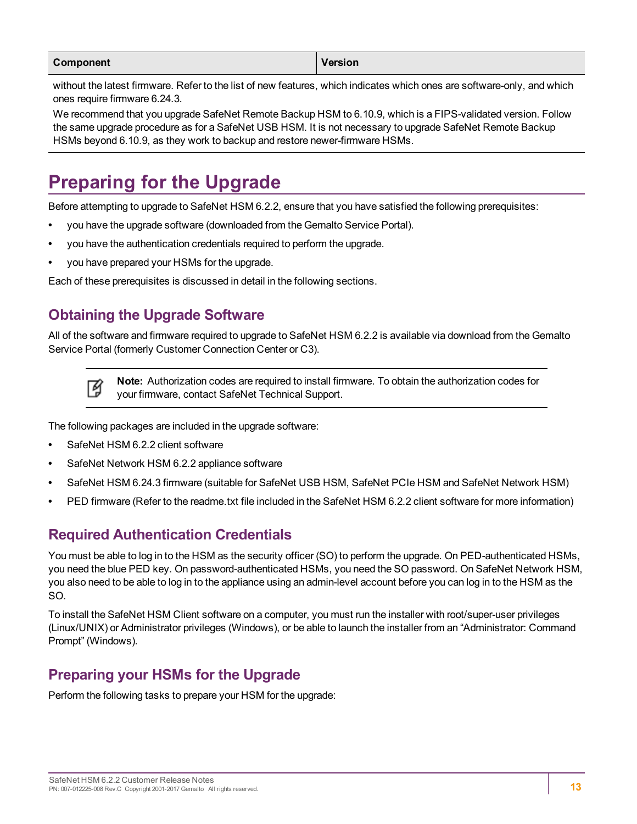| Component | Version |
|-----------|---------|
|           |         |

without the latest firmware. Refer to the list of new features, which indicates which ones are software-only, and which ones require firmware 6.24.3.

We recommend that you upgrade SafeNet Remote Backup HSM to 6.10.9, which is a FIPS-validated version. Follow the same upgrade procedure as for a SafeNet USB HSM. It is not necessary to upgrade SafeNet Remote Backup HSMs beyond 6.10.9, as they work to backup and restore newer-firmware HSMs.

# <span id="page-12-0"></span>**Preparing for the Upgrade**

Before attempting to upgrade to SafeNet HSM 6.2.2, ensure that you have satisfied the following prerequisites:

- **•** you have the upgrade software (downloaded from the Gemalto Service Portal).
- **•** you have the authentication credentials required to perform the upgrade.
- **•** you have prepared your HSMs for the upgrade.

<span id="page-12-1"></span>Each of these prerequisites is discussed in detail in the following sections.

# **Obtaining the Upgrade Software**

All of the software and firmware required to upgrade to SafeNet HSM 6.2.2 is available via download from the Gemalto Service Portal (formerly Customer Connection Center or C3).



**Note:** Authorization codes are required to install firmware. To obtain the authorization codes for your firmware, contact SafeNet Technical Support.

The following packages are included in the upgrade software:

- **•** SafeNet HSM 6.2.2 client software
- **•** SafeNet Network HSM 6.2.2 appliance software
- **•** SafeNet HSM 6.24.3 firmware (suitable for SafeNet USB HSM, SafeNet PCIe HSM and SafeNet Network HSM)
- <span id="page-12-2"></span>**•** PED firmware (Refer to the readme.txt file included in the SafeNet HSM 6.2.2 client software for more information)

# **Required Authentication Credentials**

You must be able to log in to the HSM as the security officer (SO) to perform the upgrade. On PED-authenticated HSMs, you need the blue PED key. On password-authenticated HSMs, you need the SO password. On SafeNet Network HSM, you also need to be able to log in to the appliance using an admin-level account before you can log in to the HSM as the SO.

To install the SafeNet HSM Client software on a computer, you must run the installer with root/super-user privileges (Linux/UNIX) or Administrator privileges (Windows), or be able to launch the installer from an "Administrator: Command Prompt" (Windows).

# <span id="page-12-3"></span>**Preparing your HSMs for the Upgrade**

Perform the following tasks to prepare your HSM for the upgrade: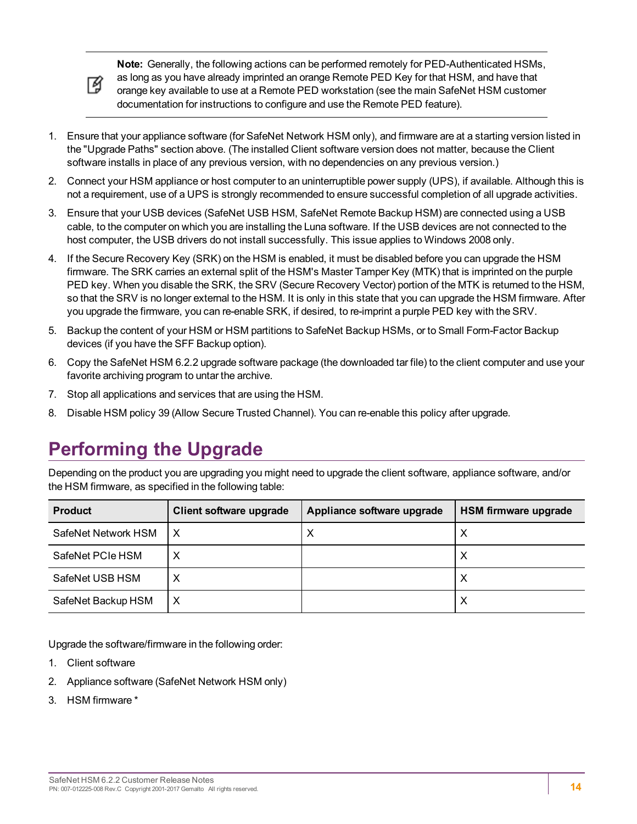

**Note:** Generally, the following actions can be performed remotely for PED-Authenticated HSMs,

as long as you have already imprinted an orange Remote PED Key for that HSM, and have that orange key available to use at a Remote PED workstation (see the main SafeNet HSM customer documentation for instructions to configure and use the Remote PED feature).

- 1. Ensure that your appliance software (for SafeNet Network HSM only), and firmware are at a starting version listed in the "Upgrade Paths" section above. (The installed Client software version does not matter, because the Client software installs in place of any previous version, with no dependencies on any previous version.)
- 2. Connect your HSM appliance or host computer to an uninterruptible power supply (UPS), if available. Although this is not a requirement, use of a UPS is strongly recommended to ensure successful completion of all upgrade activities.
- 3. Ensure that your USB devices (SafeNet USB HSM, SafeNet Remote Backup HSM) are connected using a USB cable, to the computer on which you are installing the Luna software. If the USB devices are not connected to the host computer, the USB drivers do not install successfully. This issue applies to Windows 2008 only.
- 4. If the Secure Recovery Key (SRK) on the HSM is enabled, it must be disabled before you can upgrade the HSM firmware. The SRK carries an external split of the HSM's Master Tamper Key (MTK) that is imprinted on the purple PED key. When you disable the SRK, the SRV (Secure Recovery Vector) portion of the MTK is returned to the HSM, so that the SRV is no longer external to the HSM. It is only in this state that you can upgrade the HSM firmware. After you upgrade the firmware, you can re-enable SRK, if desired, to re-imprint a purple PED key with the SRV.
- 5. Backup the content of your HSM or HSM partitions to SafeNet Backup HSMs, or to Small Form-Factor Backup devices (if you have the SFF Backup option).
- 6. Copy the SafeNet HSM 6.2.2 upgrade software package (the downloaded tar file) to the client computer and use your favorite archiving program to untar the archive.
- 7. Stop all applications and services that are using the HSM.
- <span id="page-13-0"></span>8. Disable HSM policy 39 (Allow Secure Trusted Channel). You can re-enable this policy after upgrade.

# **Performing the Upgrade**

Depending on the product you are upgrading you might need to upgrade the client software, appliance software, and/or the HSM firmware, as specified in the following table:

| <b>Product</b>      | Client software upgrade | Appliance software upgrade | <b>HSM firmware upgrade</b> |
|---------------------|-------------------------|----------------------------|-----------------------------|
| SafeNet Network HSM |                         | $\boldsymbol{\mathsf{X}}$  | Х                           |
| SafeNet PCIe HSM    |                         |                            | Х                           |
| SafeNet USB HSM     |                         |                            | Х                           |
| SafeNet Backup HSM  | х                       |                            | Х                           |

Upgrade the software/firmware in the following order:

- 1. Client software
- 2. Appliance software (SafeNet Network HSM only)
- 3. HSM firmware \*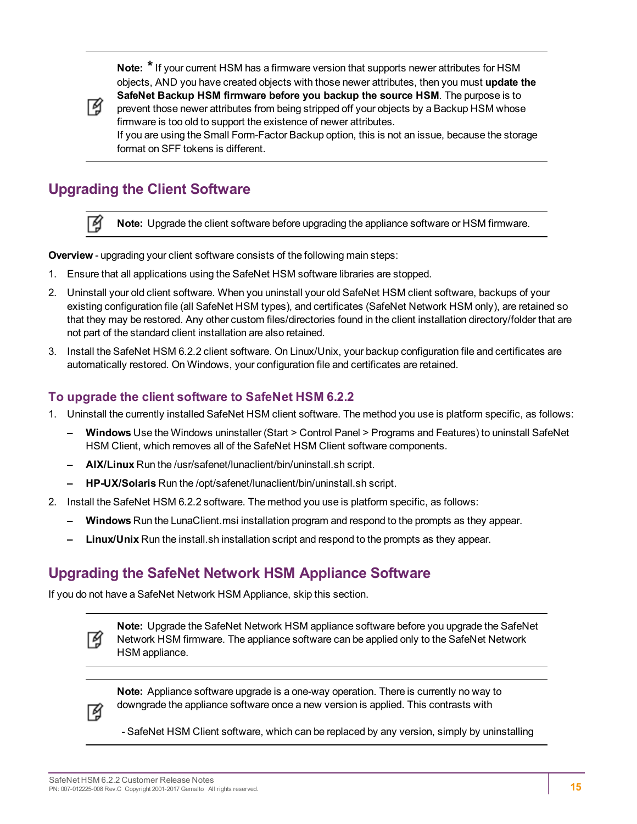**Note: \***If your current HSM has a firmware version that supports newer attributes for HSM objects, AND you have created objects with those newer attributes, then you must **update the SafeNet Backup HSM firmware before you backup the source HSM**. The purpose is to prevent those newer attributes from being stripped off your objects by a Backup HSM whose firmware is too old to support the existence of newer attributes. If you are using the Small Form-Factor Backup option, this is not an issue, because the storage format on SFF tokens is different.



了

# <span id="page-14-0"></span>**Upgrading the Client Software**

**Note:** Upgrade the client software before upgrading the appliance software or HSM firmware.

**Overview** - upgrading your client software consists of the following main steps:

- 1. Ensure that all applications using the SafeNet HSM software libraries are stopped.
- 2. Uninstall your old client software. When you uninstall your old SafeNet HSM client software, backups of your existing configuration file (all SafeNet HSM types), and certificates (SafeNet Network HSM only), are retained so that they may be restored. Any other custom files/directories found in the client installation directory/folder that are not part of the standard client installation are also retained.
- 3. Install the SafeNet HSM 6.2.2 client software. On Linux/Unix, your backup configuration file and certificates are automatically restored. On Windows, your configuration file and certificates are retained.

#### **To upgrade the client software to SafeNet HSM 6.2.2**

- 1. Uninstall the currently installed SafeNet HSM client software. The method you use is platform specific, as follows:
	- **– Windows** Use the Windows uninstaller (Start > Control Panel > Programs and Features) to uninstall SafeNet HSM Client, which removes all of the SafeNet HSM Client software components.
	- **– AIX/Linux** Run the /usr/safenet/lunaclient/bin/uninstall.sh script.
	- **– HP-UX/Solaris** Run the /opt/safenet/lunaclient/bin/uninstall.sh script.
- 2. Install the SafeNet HSM 6.2.2 software. The method you use is platform specific, as follows:
	- **– Windows** Run the LunaClient.msi installation program and respond to the prompts as they appear.
	- **– Linux/Unix** Run the install.sh installation script and respond to the prompts as they appear.

### <span id="page-14-1"></span>**Upgrading the SafeNet Network HSM Appliance Software**

If you do not have a SafeNet Network HSM Appliance, skip this section.



**Note:** Upgrade the SafeNet Network HSM appliance software before you upgrade the SafeNet Network HSM firmware. The appliance software can be applied only to the SafeNet Network HSM appliance.



**Note:** Appliance software upgrade is a one-way operation. There is currently no way to downgrade the appliance software once a new version is applied. This contrasts with

- SafeNet HSM Client software, which can be replaced by any version, simply by uninstalling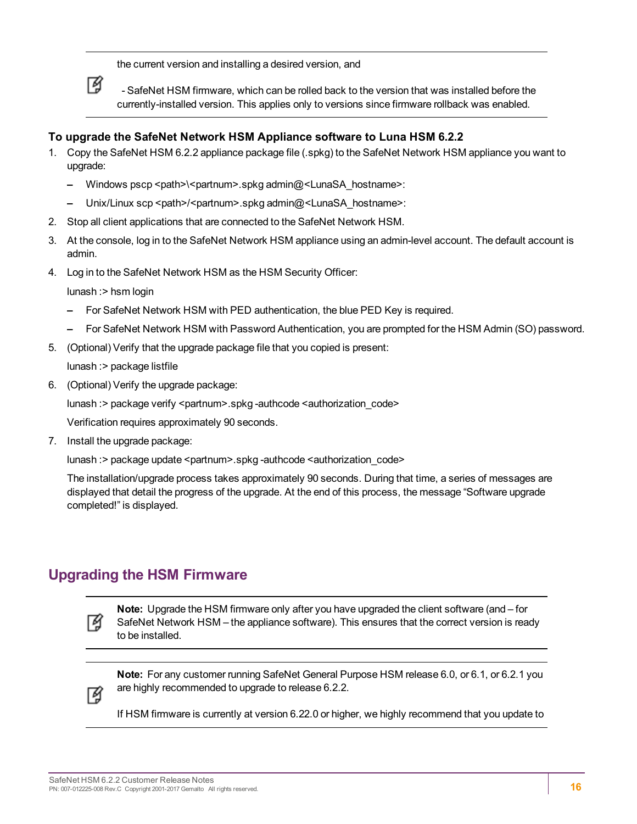the current version and installing a desired version, and



 - SafeNet HSM firmware, which can be rolled back to the version that was installed before the currently-installed version. This applies only to versions since firmware rollback was enabled.

### **To upgrade the SafeNet Network HSM Appliance software to Luna HSM 6.2.2**

- 1. Copy the SafeNet HSM 6.2.2 appliance package file (.spkg) to the SafeNet Network HSM appliance you want to upgrade:
	- **–** Windows pscp <path>\<partnum>.spkg admin@<LunaSA\_hostname>:
	- Unix/Linux scp <path>/<partnum>.spkg admin@<LunaSA\_hostname>:
- 2. Stop all client applications that are connected to the SafeNet Network HSM.
- 3. At the console, log in to the SafeNet Network HSM appliance using an admin-level account. The default account is admin.
- 4. Log in to the SafeNet Network HSM as the HSM Security Officer:

lunash :> hsm login

- **–** For SafeNet Network HSM with PED authentication, the blue PED Key is required.
- **–** For SafeNet Network HSM with Password Authentication, you are prompted for the HSM Admin (SO) password.
- 5. (Optional) Verify that the upgrade package file that you copied is present:

lunash :> package listfile

6. (Optional) Verify the upgrade package:

lunash :> package verify <partnum>.spkg -authcode <authorization\_code>

Verification requires approximately 90 seconds.

7. Install the upgrade package:

lunash :> package update <partnum>.spkg -authcode <authorization\_code>

The installation/upgrade process takes approximately 90 seconds. During that time, a series of messages are displayed that detail the progress of the upgrade. At the end of this process, the message "Software upgrade completed!" is displayed.

# <span id="page-15-0"></span>**Upgrading the HSM Firmware**



**Note:** Upgrade the HSM firmware only after you have upgraded the client software (and – for SafeNet Network HSM – the appliance software). This ensures that the correct version is ready to be installed.



**Note:** For any customer running SafeNet General Purpose HSM release 6.0, or 6.1, or 6.2.1 you are highly recommended to upgrade to release 6.2.2.

If HSM firmware is currently at version 6.22.0 or higher, we highly recommend that you update to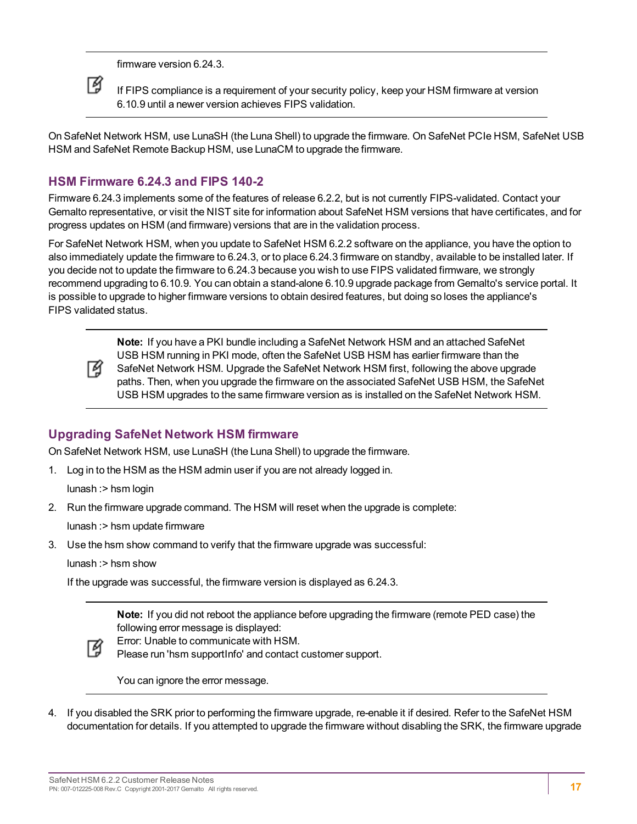firmware version 6.24.3.



If FIPS compliance is a requirement of your security policy, keep your HSM firmware at version 6.10.9 until a newer version achieves FIPS validation.

On SafeNet Network HSM, use LunaSH (the Luna Shell) to upgrade the firmware. On SafeNet PCIe HSM, SafeNet USB HSM and SafeNet Remote Backup HSM, use LunaCM to upgrade the firmware.

### **HSM Firmware 6.24.3 and FIPS 140-2**

Firmware 6.24.3 implements some of the features of release 6.2.2, but is not currently FIPS-validated. Contact your Gemalto representative, or visit the NIST site for information about SafeNet HSM versions that have certificates, and for progress updates on HSM (and firmware) versions that are in the validation process.

For SafeNet Network HSM, when you update to SafeNet HSM 6.2.2 software on the appliance, you have the option to also immediately update the firmware to 6.24.3, or to place 6.24.3 firmware on standby, available to be installed later. If you decide not to update the firmware to 6.24.3 because you wish to use FIPS validated firmware, we strongly recommend upgrading to 6.10.9. You can obtain a stand-alone 6.10.9 upgrade package from Gemalto's service portal. It is possible to upgrade to higher firmware versions to obtain desired features, but doing so loses the appliance's FIPS validated status.



**Note:** If you have a PKI bundle including a SafeNet Network HSM and an attached SafeNet USB HSM running in PKI mode, often the SafeNet USB HSM has earlier firmware than the SafeNet Network HSM. Upgrade the SafeNet Network HSM first, following the above upgrade paths. Then, when you upgrade the firmware on the associated SafeNet USB HSM, the SafeNet USB HSM upgrades to the same firmware version as is installed on the SafeNet Network HSM.

### **Upgrading SafeNet Network HSM firmware**

On SafeNet Network HSM, use LunaSH (the Luna Shell) to upgrade the firmware.

1. Log in to the HSM as the HSM admin user if you are not already logged in.

lunash :> hsm login

2. Run the firmware upgrade command. The HSM will reset when the upgrade is complete:

lunash :> hsm update firmware

3. Use the hsm show command to verify that the firmware upgrade was successful:

lunash :> hsm show

If the upgrade was successful, the firmware version is displayed as 6.24.3.

**Note:** If you did not reboot the appliance before upgrading the firmware (remote PED case) the following error message is displayed:



Error: Unable to communicate with HSM. Please run 'hsm supportInfo' and contact customer support.

You can ignore the error message.

4. If you disabled the SRK prior to performing the firmware upgrade, re-enable it if desired. Refer to the SafeNet HSM documentation for details. If you attempted to upgrade the firmware without disabling the SRK, the firmware upgrade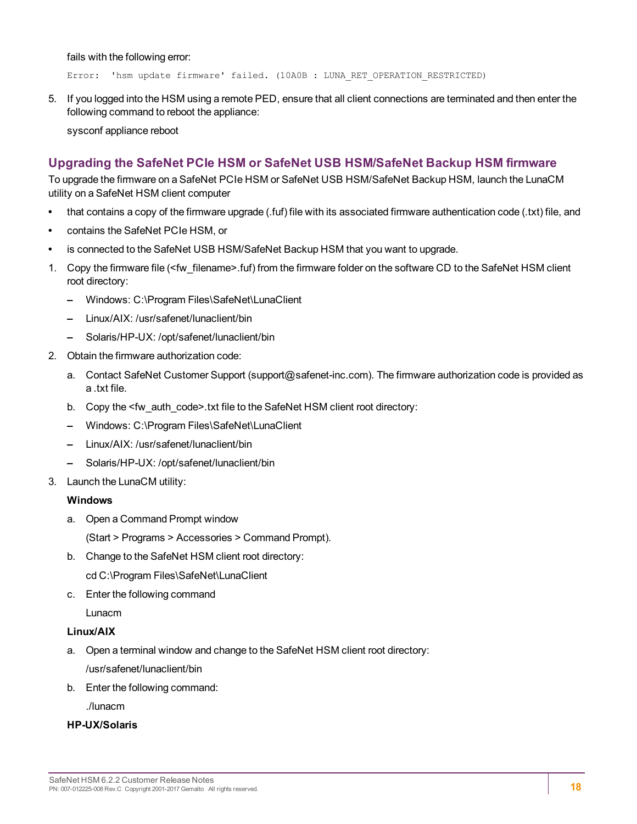fails with the following error:

Error: 'hsm update firmware' failed. (10A0B : LUNA RET OPERATION RESTRICTED)

5. If you logged into the HSM using a remote PED, ensure that all client connections are terminated and then enter the following command to reboot the appliance:

sysconf appliance reboot

### **Upgrading the SafeNet PCIe HSM or SafeNet USB HSM/SafeNet Backup HSM firmware**

To upgrade the firmware on a SafeNet PCIe HSM or SafeNet USB HSM/SafeNet Backup HSM, launch the LunaCM utility on a SafeNet HSM client computer

- **•** that contains a copy of the firmware upgrade (.fuf) file with its associated firmware authentication code (.txt) file, and
- **•** contains the SafeNet PCIe HSM, or
- **•** is connected to the SafeNet USB HSM/SafeNet Backup HSM that you want to upgrade.
- 1. Copy the firmware file (<fw\_filename>.fuf) from the firmware folder on the software CD to the SafeNet HSM client root directory:
	- **–** Windows: C:\Program Files\SafeNet\LunaClient
	- **–** Linux/AIX: /usr/safenet/lunaclient/bin
	- **–** Solaris/HP-UX: /opt/safenet/lunaclient/bin
- 2. Obtain the firmware authorization code:
	- a. Contact SafeNet Customer Support (support@safenet-inc.com). The firmware authorization code is provided as a .txt file.
	- b. Copy the <fw\_auth\_code>.txt file to the SafeNet HSM client root directory:
	- **–** Windows: C:\Program Files\SafeNet\LunaClient
	- **–** Linux/AIX: /usr/safenet/lunaclient/bin
	- **–** Solaris/HP-UX: /opt/safenet/lunaclient/bin
- 3. Launch the LunaCM utility:

#### **Windows**

a. Open a Command Prompt window

(Start > Programs > Accessories > Command Prompt).

- b. Change to the SafeNet HSM client root directory: cd C:\Program Files\SafeNet\LunaClient
- c. Enter the following command

Lunacm

#### **Linux/AIX**

- a. Open a terminal window and change to the SafeNet HSM client root directory: /usr/safenet/lunaclient/bin
- b. Enter the following command:

./lunacm

#### **HP-UX/Solaris**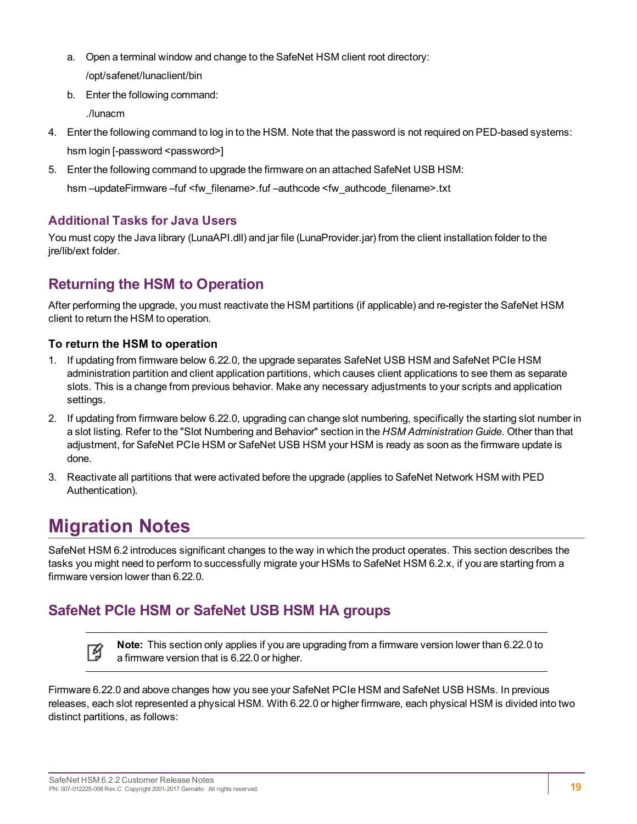- a. Open a terminal window and change to the SafeNet HSM client root directory: /opt/safenet/lunaclient/bin
- b. Enter the following command:

./lunacm

- 4. Enter the following command to log in to the HSM. Note that the password is not required on PED-based systems: hsm login [-password <password>]
- 5. Enter the following command to upgrade the firmware on an attached SafeNet USB HSM:

hsm –updateFirmware –fuf <fw\_filename>.fuf –authcode <fw\_authcode\_filename>.txt

### **Additional Tasks for Java Users**

You must copy the Java library (LunaAPI.dll) and jar file (LunaProvider.jar) from the client installation folder to the ire/lib/ext folder.

# <span id="page-18-0"></span>**Returning the HSM to Operation**

After performing the upgrade, you must reactivate the HSM partitions (if applicable) and re-register the SafeNet HSM client to return the HSM to operation.

### **To return the HSM to operation**

- 1. If updating from firmware below 6.22.0, the upgrade separates SafeNet USB HSM and SafeNet PCIe HSM administration partition and client application partitions, which causes client applications to see them as separate slots. This is a change from previous behavior. Make any necessary adjustments to your scripts and application settings.
- 2. If updating from firmware below 6.22.0, upgrading can change slot numbering, specifically the starting slot number in a slot listing. Refer to the "Slot Numbering and Behavior" section in the *HSM Administration Guide*. Other than that adjustment, for SafeNet PCIe HSM or SafeNet USB HSM your HSM is ready as soon as the firmware update is done.
- 3. Reactivate all partitions that were activated before the upgrade (applies to SafeNet Network HSM with PED Authentication).

# <span id="page-18-1"></span>**Migration Notes**

層

SafeNet HSM 6.2 introduces significant changes to the way in which the product operates. This section describes the tasks you might need to perform to successfully migrate your HSMs to SafeNet HSM 6.2.x, if you are starting from a firmware version lower than 6.22.0.

# <span id="page-18-2"></span>**SafeNet PCIe HSM or SafeNet USB HSM HA groups**

**Note:** This section only applies if you are upgrading from a firmware version lower than 6.22.0 to a firmware version that is 6.22.0 or higher.

Firmware 6.22.0 and above changes how you see your SafeNet PCIe HSM and SafeNet USB HSMs. In previous releases, each slot represented a physical HSM. With 6.22.0 or higher firmware, each physical HSM is divided into two distinct partitions, as follows: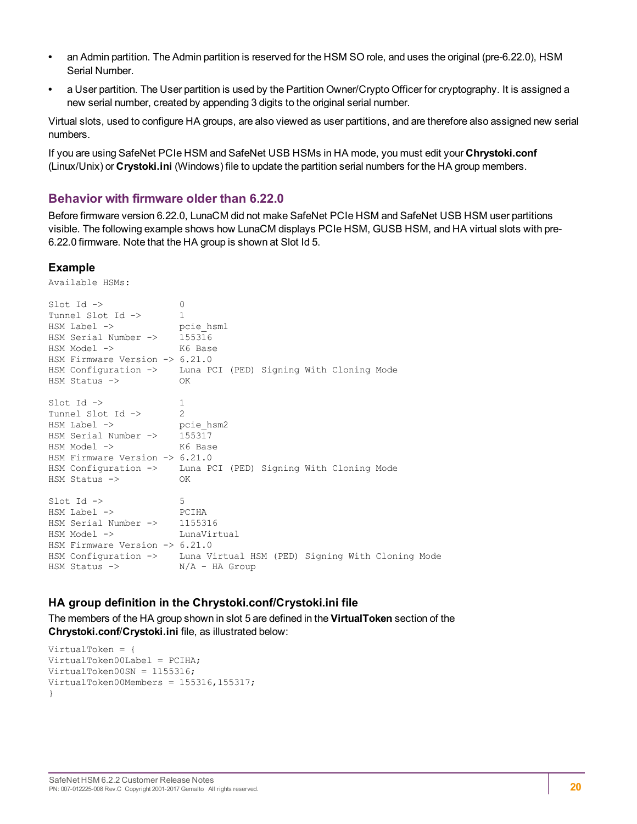- **•** an Admin partition. The Admin partition is reserved for the HSM SO role, and uses the original (pre-6.22.0), HSM Serial Number.
- **•** a User partition. The User partition is used by the Partition Owner/Crypto Officer for cryptography. It is assigned a new serial number, created by appending 3 digits to the original serial number.

Virtual slots, used to configure HA groups, are also viewed as user partitions, and are therefore also assigned new serial numbers.

If you are using SafeNet PCIe HSM and SafeNet USB HSMs in HA mode, you must edit your **Chrystoki.conf** (Linux/Unix) or **Crystoki.ini** (Windows) file to update the partition serial numbers for the HA group members.

#### **Behavior with firmware older than 6.22.0**

Before firmware version 6.22.0, LunaCM did not make SafeNet PCIe HSM and SafeNet USB HSM user partitions visible. The following example shows how LunaCM displays PCIe HSM, GUSB HSM, and HA virtual slots with pre-6.22.0 firmware. Note that the HA group is shown at Slot Id 5.

#### **Example**

Available HSMs:

| $Slot$ Id $\rightarrow$<br>Tunnel Slot Id -><br>HSM Label -> pcie hsm1<br>HSM Serial Number -> 155316<br>HSM Model -><br>K6 Base<br>HSM Firmware Version $\rightarrow$ 6.21.0<br>HSM Status ->                         | $\mathbf{0}$<br>$\mathbf{1}$<br>HSM Configuration -> Luna PCI (PED) Signing With Cloning Mode<br>OK |
|------------------------------------------------------------------------------------------------------------------------------------------------------------------------------------------------------------------------|-----------------------------------------------------------------------------------------------------|
| $Slot$ Id $\rightarrow$<br>Tunnel Slot Id -><br>HSM Label -> pcie hsm2<br>HSM Serial Number $\rightarrow$ 155317<br>HSM Model -><br>K6 Base<br>HSM Firmware Version $\rightarrow$ 6.21.0<br>$HSM$ Status $\rightarrow$ | 1<br>$\mathcal{P}$<br>HSM Configuration -> Luna PCI (PED) Signing With Cloning Mode<br>OK           |
| $Slot$ Id $\rightarrow$<br><b>POIHA</b><br>$HSM$ Label $\rightarrow$<br>HSM Serial Number -> 1155316<br>HSM Model -><br>HSM Firmware Version $\rightarrow$ 6.21.0<br>HSM Status $\rightarrow$ N/A - HA Group           | 5<br>LunaVirtual<br>HSM Configuration -> Luna Virtual HSM (PED) Signing With Cloning Mode           |

#### **HA group definition in the Chrystoki.conf/Crystoki.ini file**

The members of the HA group shown in slot 5 are defined in the **VirtualToken** section of the **Chrystoki.conf**/**Crystoki.ini** file, as illustrated below:

```
VirtualToken = {
VirtualToken00Label = PCIHA;
VirtualToken00SN = 1155316;
VirtualToken00Members = 155316,155317;
}
```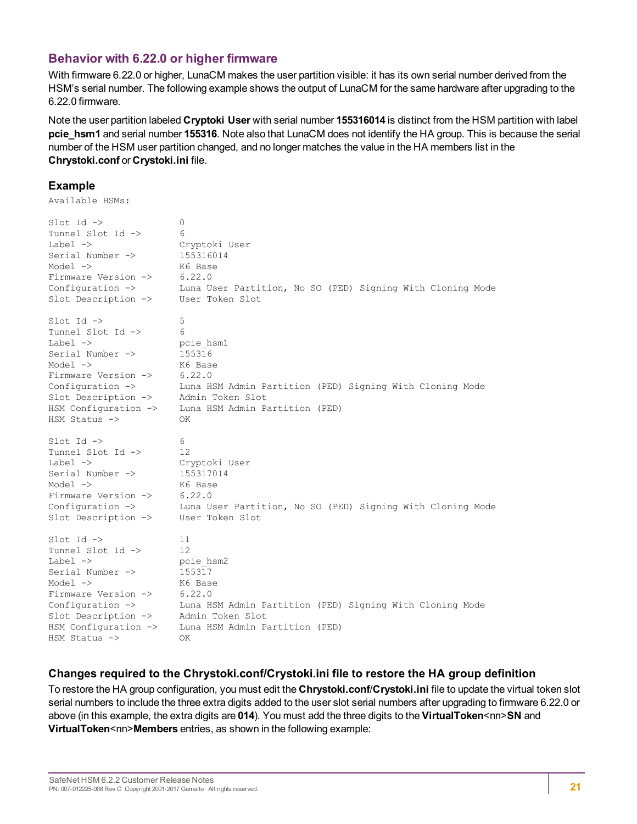### **Behavior with 6.22.0 or higher firmware**

With firmware 6.22.0 or higher, LunaCM makes the user partition visible: it has its own serial number derived from the HSM's serial number. The following example shows the output of LunaCM for the same hardware after upgrading to the 6.22.0 firmware.

Note the user partition labeled **Cryptoki User** with serial number **155316014** is distinct from the HSM partition with label **pcie\_hsm1** and serial number **155316**. Note also that LunaCM does not identify the HA group. This is because the serial number of the HSM user partition changed, and no longer matches the value in the HA members list in the **Chrystoki.conf** or **Crystoki.ini** file.

#### **Example**

Available HSMs:

| $Slot$ Id $\rightarrow$         | 0                                                          |
|---------------------------------|------------------------------------------------------------|
| Tunnel Slot Id ->               | 6                                                          |
| Label $\rightarrow$             | Cryptoki User                                              |
| Serial Number ->                | 155316014                                                  |
| Model $\rightarrow$             | K6 Base                                                    |
| Firmware Version ->             | 6.22.0                                                     |
| Configuration ->                | Luna User Partition, No SO (PED) Signing With Cloning Mode |
| Slot Description ->             | User Token Slot                                            |
| $Slot$ Id $\rightarrow$         | 5                                                          |
| Tunnel Slot Id ->               | 6                                                          |
| Label $\rightarrow$             | pcie hsml                                                  |
| Serial Number ->                | 155316                                                     |
| Model $\rightarrow$             | K6 Base                                                    |
| Firmware Version $\rightarrow$  | 6.22.0                                                     |
| Configuration ->                | Luna HSM Admin Partition (PED) Signing With Cloning Mode   |
| Slot Description ->             | Admin Token Slot                                           |
| HSM Configuration ->            | Luna HSM Admin Partition (PED)                             |
| $HSM$ Status $\rightarrow$      | ΟK                                                         |
| $Slot$ Id $\rightarrow$         | 6                                                          |
| Tunnel Slot Id ->               | 12                                                         |
| Label $\rightarrow$             | Cryptoki User                                              |
| Serial Number ->                | 155317014                                                  |
| Model $\rightarrow$             | K6 Base                                                    |
| Firmware Version ->             | 6.22.0                                                     |
| Configuration $\rightarrow$     | Luna User Partition, No SO (PED) Signing With Cloning Mode |
| Slot Description ->             | User Token Slot                                            |
| $Slot$ Id $\rightarrow$         | 11                                                         |
| Tunnel Slot Id ->               | 12                                                         |
| $Label \rightarrow$             | pcie hsm2                                                  |
| Serial Number ->                | 155317                                                     |
| Model $\rightarrow$             | K6 Base                                                    |
| Firmware Version ->             | 6.22.0                                                     |
| Configuration $\rightarrow$     | Luna HSM Admin Partition (PED) Signing With Cloning Mode   |
| Slot Description ->             | Admin Token Slot                                           |
| HSM Configuration $\rightarrow$ | Luna HSM Admin Partition (PED)                             |
| HSM Status ->                   | OK                                                         |

#### **Changes required to the Chrystoki.conf/Crystoki.ini file to restore the HA group definition**

To restore the HA group configuration, you must edit the **Chrystoki.conf**/**Crystoki.ini** file to update the virtual token slot serial numbers to include the three extra digits added to the user slot serial numbers after upgrading to firmware 6.22.0 or above (in this example, the extra digits are **014**). You must add the three digits to the **VirtualToken**<nn>**SN** and **VirtualToken**<nn>**Members** entries, as shown in the following example: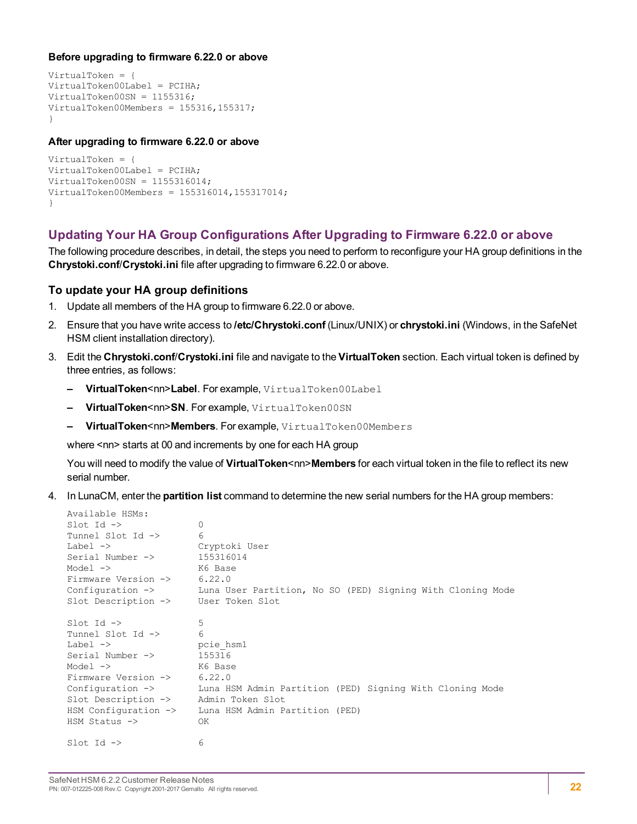#### **Before upgrading to firmware 6.22.0 or above**

```
VirtualToken = {
VirtualToken00Label = PCIHA;
VirtualToken00SN = 1155316;
VirtualToken00Members = 155316,155317;
}
```
#### **After upgrading to firmware 6.22.0 or above**

```
VirtualToken = {
VirtualToken00Label = PCIHA;
VirtualToken00SN = 1155316014;
VirtualToken00Members = 155316014,155317014;
}
```
### **Updating Your HA Group Configurations After Upgrading to Firmware 6.22.0 or above**

The following procedure describes, in detail, the steps you need to perform to reconfigure your HA group definitions in the **Chrystoki.conf**/**Crystoki.ini** file after upgrading to firmware 6.22.0 or above.

#### **To update your HA group definitions**

- 1. Update all members of the HA group to firmware 6.22.0 or above.
- 2. Ensure that you have write access to **/etc/Chrystoki.conf** (Linux/UNIX) or **chrystoki.ini** (Windows, in the SafeNet HSM client installation directory).
- 3. Edit the **Chrystoki.conf**/**Crystoki.ini** file and navigate to the **VirtualToken** section. Each virtual token is defined by three entries, as follows:
	- **– VirtualToken**<nn>**Label**. For example, VirtualToken00Label
	- **– VirtualToken**<nn>**SN**. For example, VirtualToken00SN
	- **– VirtualToken**<nn>**Members**. For example, VirtualToken00Members

where <nn> starts at 00 and increments by one for each HA group

You will need to modify the value of VirtualToken<nn>Members for each virtual token in the file to reflect its new serial number.

4. In LunaCM, enter the **partition list** command to determine the new serial numbers for the HA group members:

```
Available HSMs:
Slot Id \rightarrow 0
Tunnel Slot Id -> 6
Label -> Cryptoki User
Serial Number -> 155316014
Model -> K6 Base
Firmware Version -> 6.22.0
Configuration -> Luna User Partition, No SO (PED) Signing With Cloning Mode
Slot Description -> User Token Slot
\text{slot} Id \rightarrow 5
Tunnel Slot Id -> 6
Label -> pcie hsm1
Serial Number -> 155316
Model -> K6 Base
Firmware Version -> 6.22.0
Configuration -> Luna HSM Admin Partition (PED) Signing With Cloning Mode
Slot Description -> Admin Token Slot
HSM Configuration -> Luna HSM Admin Partition (PED)
HSM Status -> OK
\text{slot} Id \rightarrow 6
```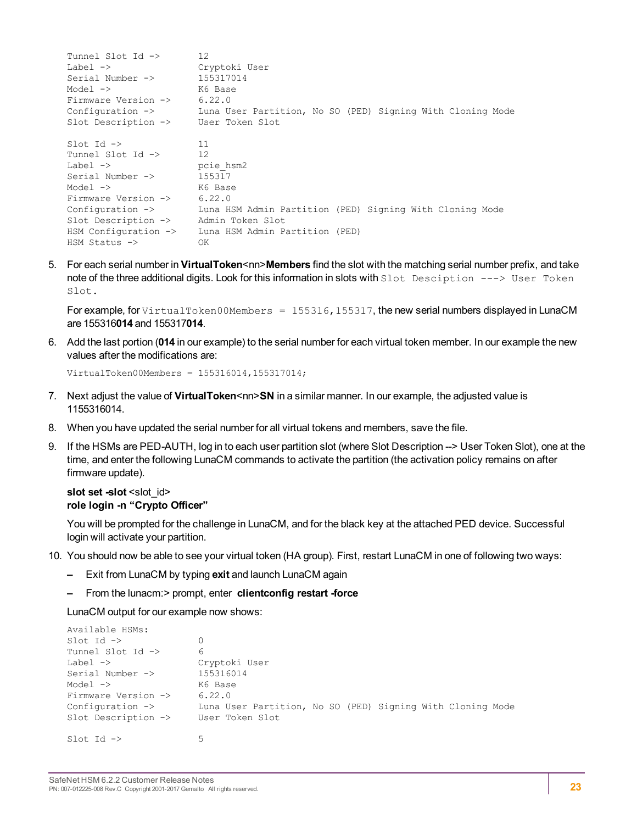```
Tunnel Slot Id -> 12
Label -> Cryptoki User<br>Serial Number -> 155317014
Serial Number ->
Model -> K6 Base<br>Firmware Version -> 6.22.0
Firmware Version ->
Configuration -> Luna User Partition, No SO (PED) Signing With Cloning Mode
Slot Description -> User Token Slot
Slot Id \rightarrow 11<br>Tunnel Slot Id \rightarrow 12
Tunnel Slot Id ->
Label -> pcie hsm2
Serial Number \rightarrow 155317
Model -> K6 Base<br>Firmware Version -> 6.22.0
Firmware Version \rightarrowConfiguration -> Luna HSM Admin Partition (PED) Signing With Cloning Mode<br>Slot Description -> Admin Token Slot
Slot Description ->
HSM Configuration -> Luna HSM Admin Partition (PED)
HSM Status -> OK
```
5. For each serial number in **VirtualToken**<nn>**Members** find the slot with the matching serial number prefix, and take note of the three additional digits. Look for this information in slots with Slot Desciption ---> User Token Slot.

For example, for VirtualToken00Members =  $155316$ , 155317, the new serial numbers displayed in LunaCM are 155316**014** and 155317**014**.

6. Add the last portion (**014** in our example) to the serial number for each virtual token member. In our example the new values after the modifications are:

```
VirtualToken00Members = 155316014,155317014;
```
- 7. Next adjust the value of **VirtualToken**<nn>**SN** in a similar manner. In our example, the adjusted value is 1155316014.
- 8. When you have updated the serial number for all virtual tokens and members, save the file.
- 9. If the HSMs are PED-AUTH, log in to each user partition slot (where Slot Description --> User Token Slot), one at the time, and enter the following LunaCM commands to activate the partition (the activation policy remains on after firmware update).

#### **slot** set -slot <slot\_id> **role login -n "Crypto Officer"**

You will be prompted for the challenge in LunaCM, and for the black key at the attached PED device. Successful login will activate your partition.

- 10. You should now be able to see your virtual token (HA group). First, restart LunaCM in one of following two ways:
	- **–** Exit from LunaCM by typing **exit** and launch LunaCM again
	- **–** From the lunacm:> prompt, enter **clientconfig restart -force**

LunaCM output for our example now shows:

```
Available HSMs:
\text{slot} Id \rightarrow 0
Tunnel Slot Id -> 6
Label -> Cryptoki User
Serial Number -> 155316014
Model -> K6 Base
Firmware Version -> 6.22.0
Configuration -> Luna User Partition, No SO (PED) Signing With Cloning Mode
Slot Description -> User Token Slot
Slot Id \rightarrow 5
```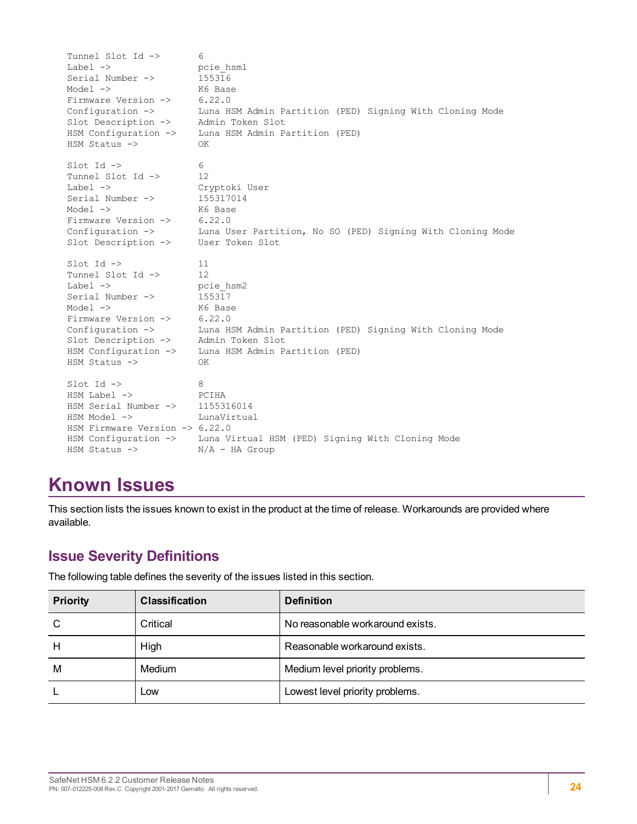```
Tunnel Slot Id -> 6
Label -> pcie hsm1
Serial Number -> 155316
Model -> K6 Base<br>Firmware Version -> 6.22.0
Firmware Version ->
Configuration -> Luna HSM Admin Partition (PED) Signing With Cloning Mode
Slot Description -> Admin Token Slot
HSM Configuration -> Luna HSM Admin Partition (PED)
HSM Status -> OK
\text{slot} Id \text{->} 6
Tunnel Slot Id -> 12
Label -> Cryptoki User
Serial Number -> 155317014
Model -> K6 Base<br>Firmware Version -> 6.22.0
Firmware Version \rightarrowConfiguration -> Luna User Partition, No SO (PED) Signing With Cloning Mode
Contiguration -> Luna User Partis<br>Slot Description -> User Token Slot
Slot Id -> 11
Tunnel Slot Id -> 12
Label -> pcie hsm2
Serial Number \rightarrow 155317
Model -> K6 Base
Firmware Version -> 6.22.0
Configuration -> Luna HSM Admin Partition (PED) Signing With Cloning Mode
Slot Description -> Admin Token Slot
HSM Configuration -> Luna HSM Admin Partition (PED)
HSM Status -> OK
\begin{array}{ccc} \text{Slot} & \text{Id} & \rightarrow & \text{8} \end{array}HSM Label -> PCIHA
HSM Serial Number -> 1155316014
HSM Model -> LunaVirtual
HSM Firmware Version -> 6.22.0
HSM Configuration -> Luna Virtual HSM (PED) Signing With Cloning Mode
HSM Status -> N/A - HA Group
```
# <span id="page-23-0"></span>**Known Issues**

This section lists the issues known to exist in the product at the time of release. Workarounds are provided where available.

# <span id="page-23-1"></span>**Issue Severity Definitions**

The following table defines the severity of the issues listed in this section.

| <b>Priority</b> | <b>Classification</b> | <b>Definition</b>                |
|-----------------|-----------------------|----------------------------------|
| C               | Critical              | No reasonable workaround exists. |
| H               | High                  | Reasonable workaround exists.    |
| M               | Medium                | Medium level priority problems.  |
|                 | Low                   | Lowest level priority problems.  |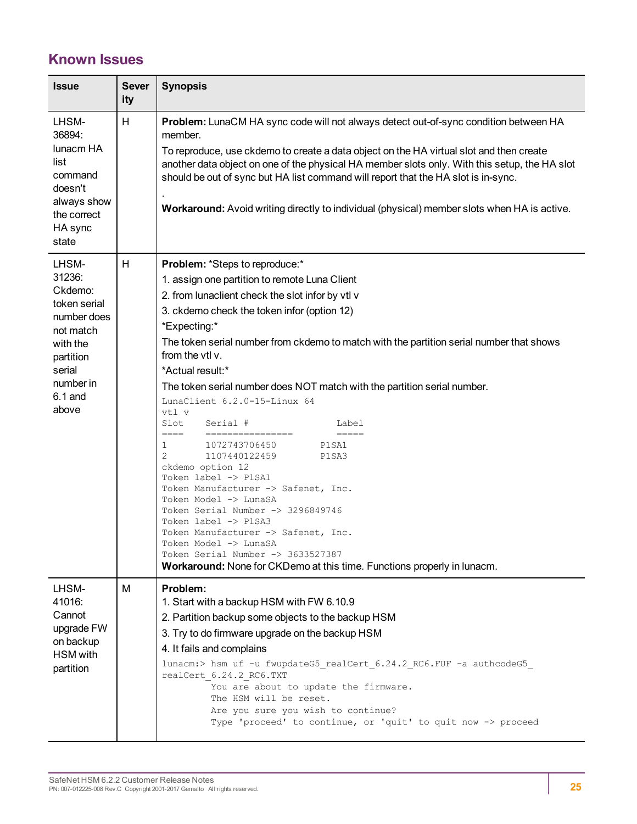# <span id="page-24-0"></span>**Known Issues**

| <b>Issue</b>                                                                                                                                 | <b>Sever</b><br>ity | <b>Synopsis</b>                                                                                                                                                                                                                                                                                                                                                                                                                                                                                                                                                                                                                                                                                                                                                                                                                                                                                                                                        |
|----------------------------------------------------------------------------------------------------------------------------------------------|---------------------|--------------------------------------------------------------------------------------------------------------------------------------------------------------------------------------------------------------------------------------------------------------------------------------------------------------------------------------------------------------------------------------------------------------------------------------------------------------------------------------------------------------------------------------------------------------------------------------------------------------------------------------------------------------------------------------------------------------------------------------------------------------------------------------------------------------------------------------------------------------------------------------------------------------------------------------------------------|
| LHSM-<br>36894:<br>lunacm HA<br>list<br>command<br>doesn't<br>always show<br>the correct<br>HA sync<br>state                                 | H                   | Problem: LunaCM HA sync code will not always detect out-of-sync condition between HA<br>member.<br>To reproduce, use ckdemo to create a data object on the HA virtual slot and then create<br>another data object on one of the physical HA member slots only. With this setup, the HA slot<br>should be out of sync but HA list command will report that the HA slot is in-sync.<br>Workaround: Avoid writing directly to individual (physical) member slots when HA is active.                                                                                                                                                                                                                                                                                                                                                                                                                                                                       |
| LHSM-<br>31236:<br>Ckdemo:<br>token serial<br>number does<br>not match<br>with the<br>partition<br>serial<br>number in<br>$6.1$ and<br>above | H                   | Problem: *Steps to reproduce:*<br>1. assign one partition to remote Luna Client<br>2. from lunaclient check the slot infor by vtl v<br>3. ckdemo check the token infor (option 12)<br>*Expecting:*<br>The token serial number from ckdemo to match with the partition serial number that shows<br>from the vtl v.<br>*Actual result:*<br>The token serial number does NOT match with the partition serial number.<br>LunaClient 6.2.0-15-Linux 64<br>vtl v<br>Slot<br>Serial #<br>Label<br>====<br>================<br>$==-=-+$<br>1<br>1072743706450<br>P1SA1<br>2<br>1107440122459<br>P1SA3<br>ckdemo option 12<br>Token label -> P1SA1<br>Token Manufacturer -> Safenet, Inc.<br>Token Model -> LunaSA<br>Token Serial Number -> 3296849746<br>Token label -> P1SA3<br>Token Manufacturer -> Safenet, Inc.<br>Token Model -> LunaSA<br>Token Serial Number -> 3633527387<br>Workaround: None for CKDemo at this time. Functions properly in lunacm. |
| LHSM-<br>41016:<br>Cannot<br>upgrade FW<br>on backup<br><b>HSM</b> with<br>partition                                                         | M                   | Problem:<br>1. Start with a backup HSM with FW 6.10.9<br>2. Partition backup some objects to the backup HSM<br>3. Try to do firmware upgrade on the backup HSM<br>4. It fails and complains<br>lunacm:> hsm uf -u fwupdateG5_realCert_6.24.2_RC6.FUF -a authcodeG5_<br>realCert 6.24.2 RC6.TXT<br>You are about to update the firmware.<br>The HSM will be reset.<br>Are you sure you wish to continue?<br>Type 'proceed' to continue, or 'quit' to quit now -> proceed                                                                                                                                                                                                                                                                                                                                                                                                                                                                                |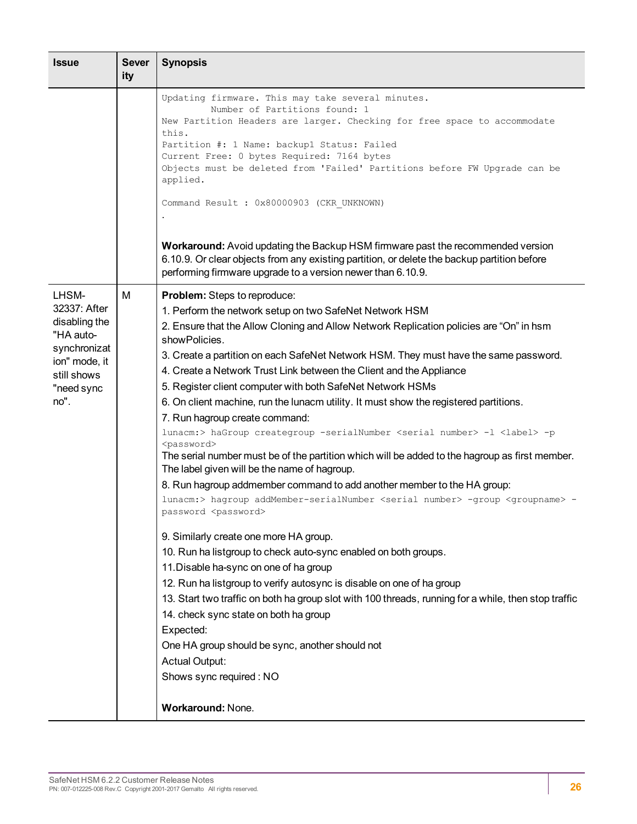| <b>Issue</b>                                                                                                              | <b>Sever</b><br>ity | <b>Synopsis</b>                                                                                                                                                                                                                                                                                                                                                                                                                                                                                                                                                                                                                                                                                                                                                                                                                                                                                                                                                                                                                                                                                                                                                                                                                                                                                                                                                                                                                                                                                                                                                                                                  |  |  |
|---------------------------------------------------------------------------------------------------------------------------|---------------------|------------------------------------------------------------------------------------------------------------------------------------------------------------------------------------------------------------------------------------------------------------------------------------------------------------------------------------------------------------------------------------------------------------------------------------------------------------------------------------------------------------------------------------------------------------------------------------------------------------------------------------------------------------------------------------------------------------------------------------------------------------------------------------------------------------------------------------------------------------------------------------------------------------------------------------------------------------------------------------------------------------------------------------------------------------------------------------------------------------------------------------------------------------------------------------------------------------------------------------------------------------------------------------------------------------------------------------------------------------------------------------------------------------------------------------------------------------------------------------------------------------------------------------------------------------------------------------------------------------------|--|--|
|                                                                                                                           |                     | Updating firmware. This may take several minutes.<br>Number of Partitions found: 1<br>New Partition Headers are larger. Checking for free space to accommodate<br>this.<br>Partition #: 1 Name: backup1 Status: Failed<br>Current Free: 0 bytes Required: 7164 bytes<br>Objects must be deleted from 'Failed' Partitions before FW Upgrade can be<br>applied.<br>Command Result : 0x80000903 (CKR UNKNOWN)<br>Workaround: Avoid updating the Backup HSM firmware past the recommended version<br>6.10.9. Or clear objects from any existing partition, or delete the backup partition before                                                                                                                                                                                                                                                                                                                                                                                                                                                                                                                                                                                                                                                                                                                                                                                                                                                                                                                                                                                                                     |  |  |
|                                                                                                                           |                     | performing firmware upgrade to a version newer than 6.10.9.                                                                                                                                                                                                                                                                                                                                                                                                                                                                                                                                                                                                                                                                                                                                                                                                                                                                                                                                                                                                                                                                                                                                                                                                                                                                                                                                                                                                                                                                                                                                                      |  |  |
| LHSM-<br>32337: After<br>disabling the<br>"HA auto-<br>synchronizat<br>ion" mode, it<br>still shows<br>"need sync<br>no". | M                   | <b>Problem:</b> Steps to reproduce:<br>1. Perform the network setup on two SafeNet Network HSM<br>2. Ensure that the Allow Cloning and Allow Network Replication policies are "On" in hsm<br>showPolicies.<br>3. Create a partition on each SafeNet Network HSM. They must have the same password.<br>4. Create a Network Trust Link between the Client and the Appliance<br>5. Register client computer with both SafeNet Network HSMs<br>6. On client machine, run the lunacm utility. It must show the registered partitions.<br>7. Run hagroup create command:<br>lunacm:> haGroup creategroup -serialNumber <serial number=""> -1 <label> -p<br/><password><br/>The serial number must be of the partition which will be added to the hagroup as first member.<br/>The label given will be the name of hagroup.<br/>8. Run hagroup addmember command to add another member to the HA group:<br/>lunacm:&gt; hagroup addMember-serialNumber <serial number=""> -group <groupname> -<br/>password <password><br/>9. Similarly create one more HA group.<br/>10. Run ha listgroup to check auto-sync enabled on both groups.<br/>11. Disable ha-sync on one of ha group<br/>12. Run ha listgroup to verify autosync is disable on one of ha group<br/>13. Start two traffic on both ha group slot with 100 threads, running for a while, then stop traffic<br/>14. check sync state on both ha group<br/>Expected:<br/>One HA group should be sync, another should not<br/><b>Actual Output:</b><br/>Shows sync required: NO<br/>Workaround: None.</password></groupname></serial></password></label></serial> |  |  |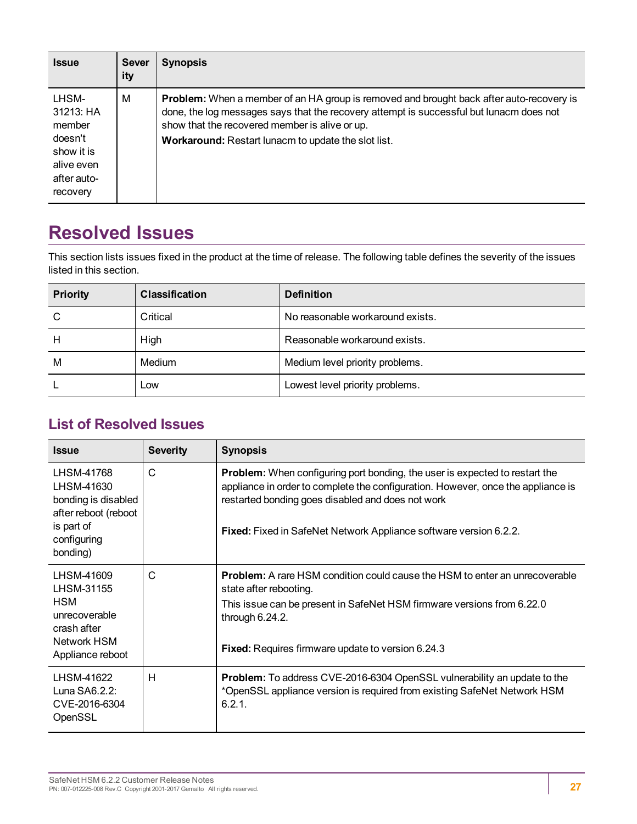| <b>Issue</b>                                                                                   | <b>Sever</b><br>ity | <b>Synopsis</b>                                                                                                                                                                                                                                                                                     |
|------------------------------------------------------------------------------------------------|---------------------|-----------------------------------------------------------------------------------------------------------------------------------------------------------------------------------------------------------------------------------------------------------------------------------------------------|
| LHSM-<br>31213: HA<br>member<br>doesn't<br>show it is<br>alive even<br>after auto-<br>recovery | м                   | <b>Problem:</b> When a member of an HA group is removed and brought back after auto-recovery is<br>done, the log messages says that the recovery attempt is successful but lunacm does not<br>show that the recovered member is alive or up.<br>Workaround: Restart lunacm to update the slot list. |

# <span id="page-26-0"></span>**Resolved Issues**

This section lists issues fixed in the product at the time of release. The following table defines the severity of the issues listed in this section.

| <b>Priority</b> | <b>Classification</b> | <b>Definition</b>                |
|-----------------|-----------------------|----------------------------------|
| C               | Critical              | No reasonable workaround exists. |
| Н               | High                  | Reasonable workaround exists.    |
| M               | Medium                | Medium level priority problems.  |
|                 | Low                   | Lowest level priority problems.  |

# <span id="page-26-1"></span>**List of Resolved Issues**

| <b>Issue</b>                                                                                                     | <b>Severity</b> | <b>Synopsis</b>                                                                                                                                                                                                                                                                                  |
|------------------------------------------------------------------------------------------------------------------|-----------------|--------------------------------------------------------------------------------------------------------------------------------------------------------------------------------------------------------------------------------------------------------------------------------------------------|
| LHSM-41768<br>LHSM-41630<br>bonding is disabled<br>after reboot (reboot<br>is part of<br>configuring<br>bonding) | C               | Problem: When configuring port bonding, the user is expected to restart the<br>appliance in order to complete the configuration. However, once the appliance is<br>restarted bonding goes disabled and does not work<br><b>Fixed:</b> Fixed in SafeNet Network Appliance software version 6.2.2. |
| LHSM-41609<br>LHSM-31155<br>HSM<br>unrecoverable<br>crash after<br>Network HSM<br>Appliance reboot               | C               | <b>Problem:</b> A rare HSM condition could cause the HSM to enter an unrecoverable<br>state after rebooting.<br>This issue can be present in SafeNet HSM firmware versions from 6.22.0<br>through $6.24.2$ .<br>Fixed: Requires firmware update to version 6.24.3                                |
| LHSM-41622<br>Luna $SAG.2.2$ :<br>CVE-2016-6304<br>OpenSSL                                                       | H               | <b>Problem:</b> To address CVE-2016-6304 OpenSSL vulnerability an update to the<br>*OpenSSL appliance version is required from existing SafeNet Network HSM<br>6.2.1.                                                                                                                            |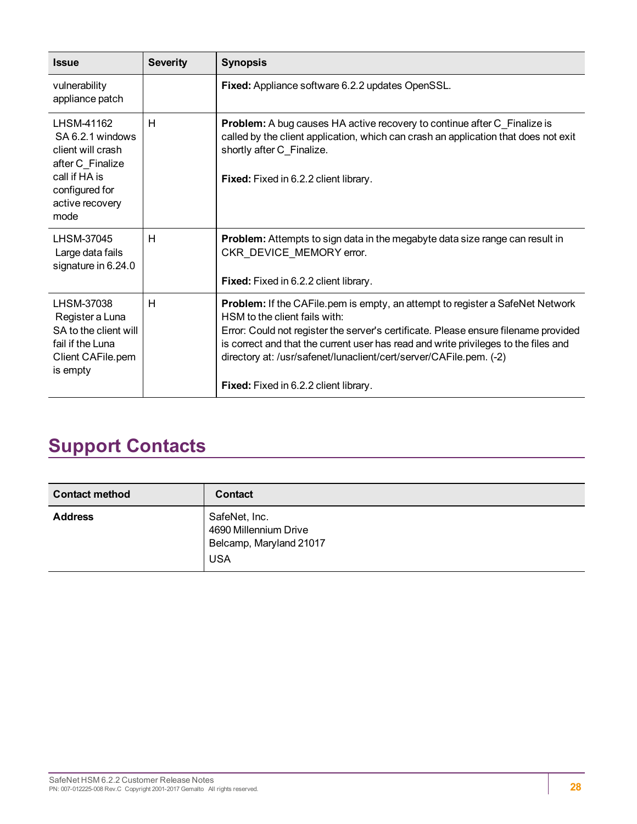| <b>Issue</b>                                                                                                                          | <b>Severity</b> | <b>Synopsis</b>                                                                                                                                                                                                                                                                                                                                                                                                    |  |
|---------------------------------------------------------------------------------------------------------------------------------------|-----------------|--------------------------------------------------------------------------------------------------------------------------------------------------------------------------------------------------------------------------------------------------------------------------------------------------------------------------------------------------------------------------------------------------------------------|--|
| vulnerability<br>appliance patch                                                                                                      |                 | Fixed: Appliance software 6.2.2 updates OpenSSL.                                                                                                                                                                                                                                                                                                                                                                   |  |
| LHSM-41162<br>SA 6.2.1 windows<br>client will crash<br>after C_Finalize<br>call if HA is<br>configured for<br>active recovery<br>mode | н               | <b>Problem:</b> A bug causes HA active recovery to continue after C_Finalize is<br>called by the client application, which can crash an application that does not exit<br>shortly after C Finalize.<br>Fixed: Fixed in 6.2.2 client library.                                                                                                                                                                       |  |
| LHSM-37045<br>Large data fails<br>signature in 6.24.0                                                                                 | Н               | <b>Problem:</b> Attempts to sign data in the megabyte data size range can result in<br>CKR_DEVICE_MEMORY error.<br>Fixed: Fixed in 6.2.2 client library.                                                                                                                                                                                                                                                           |  |
| LHSM-37038<br>Register a Luna<br>SA to the client will<br>fail if the Luna<br>Client CAFile.pem<br>is empty                           | Н               | <b>Problem:</b> If the CAFile pem is empty, an attempt to register a SafeNet Network<br>HSM to the client fails with:<br>Error: Could not register the server's certificate. Please ensure filename provided<br>is correct and that the current user has read and write privileges to the files and<br>directory at: /usr/safenet/lunaclient/cert/server/CAFile.pem. (-2)<br>Fixed: Fixed in 6.2.2 client library. |  |

# <span id="page-27-0"></span>**Support Contacts**

| <b>Contact method</b> | Contact                                                                         |
|-----------------------|---------------------------------------------------------------------------------|
| <b>Address</b>        | SafeNet, Inc.<br>4690 Millennium Drive<br>Belcamp, Maryland 21017<br><b>USA</b> |